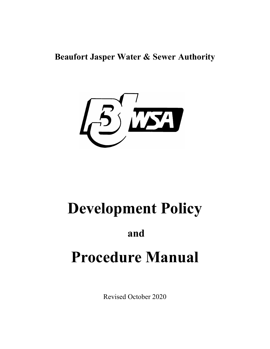**Beaufort Jasper Water & Sewer Authority**



## **Development Policy**

## **and**

# **Procedure Manual**

Revised October 2020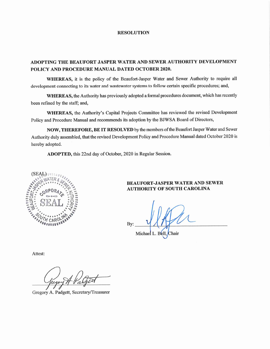#### **RESOLUTION**

#### ADOPTING THE BEAUFORT JASPER WATER AND SEWER AUTHORITY DEVELOPMENT POLICY AND PROCEDURE MANUAL DATED OCTOBER 2020.

WHEREAS, it is the policy of the Beaufort-Jasper Water and Sewer Authority to require all development connecting to its water and wastewater systems to follow certain specific procedures; and,

WHEREAS, the Authority has previously adopted a formal procedures document, which has recently been refined by the staff; and,

WHEREAS, the Authority's Capital Projects Committee has reviewed the revised Development Policy and Procedure Manual and recommends its adoption by the BJWSA Board of Directors,

NOW, THEREFORE, BE IT RESOLVED by the members of the Beaufort Jasper Water and Sewer Authority duly assembled, that the revised Development Policy and Procedure Manual dated October 2020 is hereby adopted.

ADOPTED, this 22nd day of October, 2020 in Regular Session.



#### **BEAUFORT-JASPER WATER AND SEWER AUTHORITY OF SOUTH CAROLINA**

Bv: Michael L. Bell, Chair

Attest:

Gregory A. Padgett, Secretary/Treasurer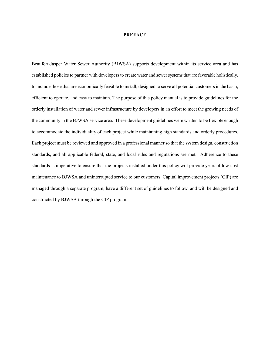#### **PREFACE**

Beaufort-Jasper Water Sewer Authority (BJWSA) supports development within its service area and has established policies to partner with developers to create water and sewer systems that are favorable holistically, to include those that are economically feasible to install, designed to serve all potential customers in the basin, efficient to operate, and easy to maintain. The purpose of this policy manual is to provide guidelines for the orderly installation of water and sewer infrastructure by developers in an effort to meet the growing needs of the community in the BJWSA service area. These development guidelines were written to be flexible enough to accommodate the individuality of each project while maintaining high standards and orderly procedures. Each project must be reviewed and approved in a professional manner so that the system design, construction standards, and all applicable federal, state, and local rules and regulations are met. Adherence to these standards is imperative to ensure that the projects installed under this policy will provide years of low-cost maintenance to BJWSA and uninterrupted service to our customers. Capital improvement projects (CIP) are managed through a separate program, have a different set of guidelines to follow, and will be designed and constructed by BJWSA through the CIP program.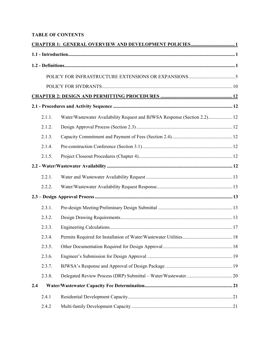#### **TABLE OF CONTENTS**

|     | 2.1.1. | Water/Wastewater Availability Request and BJWSA Response (Section 2.2) 12 |  |
|-----|--------|---------------------------------------------------------------------------|--|
|     | 2.1.2. |                                                                           |  |
|     | 2.1.3. |                                                                           |  |
|     | 2.1.4. |                                                                           |  |
|     | 2.1.5. |                                                                           |  |
|     |        |                                                                           |  |
|     | 2.2.1. |                                                                           |  |
|     | 2.2.2. |                                                                           |  |
|     |        |                                                                           |  |
|     | 2.3.1. |                                                                           |  |
|     | 2.3.2. |                                                                           |  |
|     | 2.3.3. |                                                                           |  |
|     | 2.3.4. |                                                                           |  |
|     | 2.3.5. |                                                                           |  |
|     | 2.3.6. |                                                                           |  |
|     | 2.3.7. |                                                                           |  |
|     | 2.3.8. |                                                                           |  |
| 2.4 |        |                                                                           |  |
|     | 2.4.1  |                                                                           |  |
|     | 2.4.2  |                                                                           |  |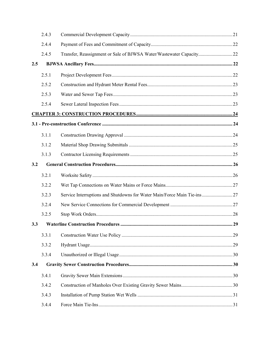|     | 2.4.3 |                                                                          |  |
|-----|-------|--------------------------------------------------------------------------|--|
|     | 2.4.4 |                                                                          |  |
|     | 2.4.5 | Transfer, Reassignment or Sale of BJWSA Water/Wastewater Capacity22      |  |
| 2.5 |       |                                                                          |  |
|     | 2.5.1 |                                                                          |  |
|     | 2.5.2 |                                                                          |  |
|     | 2.5.3 |                                                                          |  |
|     | 2.5.4 |                                                                          |  |
|     |       |                                                                          |  |
|     |       |                                                                          |  |
|     | 3.1.1 |                                                                          |  |
|     | 3.1.2 |                                                                          |  |
|     | 3.1.3 |                                                                          |  |
| 3.2 |       |                                                                          |  |
|     | 3.2.1 |                                                                          |  |
|     | 3.2.2 |                                                                          |  |
|     | 3.2.3 | Service Interruptions and Shutdowns for Water Main/Force Main Tie-ins 27 |  |
|     | 3.2.4 |                                                                          |  |
|     | 3.2.5 |                                                                          |  |
| 3.3 |       |                                                                          |  |
|     | 3.3.1 |                                                                          |  |
|     | 3.3.2 |                                                                          |  |
|     | 3.3.4 |                                                                          |  |
| 3.4 |       |                                                                          |  |
|     | 3.4.1 |                                                                          |  |
|     | 3.4.2 |                                                                          |  |
|     | 3.4.3 |                                                                          |  |
|     | 3.4.4 |                                                                          |  |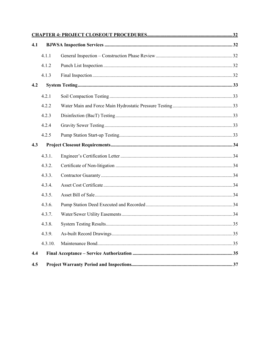| 4.1 |         |  |  |
|-----|---------|--|--|
|     | 4.1.1   |  |  |
|     | 4.1.2   |  |  |
|     | 4.1.3   |  |  |
| 4.2 |         |  |  |
|     | 4.2.1   |  |  |
|     | 4.2.2   |  |  |
|     | 4.2.3   |  |  |
|     | 4.2.4   |  |  |
|     | 4.2.5   |  |  |
| 4.3 |         |  |  |
|     | 4.3.1.  |  |  |
|     | 4.3.2.  |  |  |
|     | 4.3.3.  |  |  |
|     | 4.3.4.  |  |  |
|     | 4.3.5.  |  |  |
|     | 4.3.6.  |  |  |
|     | 4.3.7.  |  |  |
|     | 4.3.8.  |  |  |
|     | 4.3.9.  |  |  |
|     | 4.3.10. |  |  |
| 4.4 |         |  |  |
| 4.5 |         |  |  |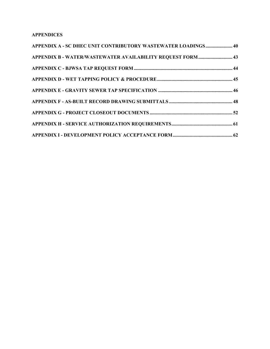#### **APPENDICES**

| APPENDIX A - SC DHEC UNIT CONTRIBUTORY WASTEWATER LOADINGS 40 |  |
|---------------------------------------------------------------|--|
| APPENDIX B - WATER/WASTEWATER AVAILABILITY REQUEST FORM  43   |  |
|                                                               |  |
|                                                               |  |
|                                                               |  |
|                                                               |  |
|                                                               |  |
|                                                               |  |
|                                                               |  |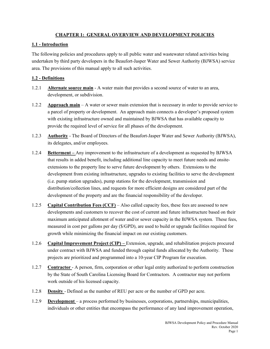#### **CHAPTER 1: GENERAL OVERVIEW AND DEVELOPMENT POLICIES**

#### **1.1 - Introduction**

The following policies and procedures apply to all public water and wastewater related activities being undertaken by third party developers in the Beaufort-Jasper Water and Sewer Authority (BJWSA) service area. The provisions of this manual apply to all such activities.

#### **1.2 - Definitions**

- 1.2.1 **Alternate source main** A water main that provides a second source of water to an area, development, or subdivision.
- 1.2.2 **Approach main** A water or sewer main extension that is necessary in order to provide service to a parcel of property or development. An approach main connects a developer's proposed system with existing infrastructure owned and maintained by BJWSA that has available capacity to provide the required level of service for all phases of the development.
- 1.2.3 **Authority** The Board of Directors of the Beaufort-Jasper Water and Sewer Authority (BJWSA), its delegates, and/or employees.
- 1.2.4 **Betterment –** Any improvement to the infrastructure of a development as requested by BJWSA that results in added benefit, including additional line capacity to meet future needs and onsiteextensions to the property line to serve future development by others. Extensions to the development from existing infrastructure, upgrades to existing facilities to serve the development (i.e. pump station upgrades), pump stations for the development, transmission and distribution/collection lines, and requests for more efficient designs are considered part of the development of the property and are the financial responsibility of the developer.
- 1.2.5 **Capital Contribution Fees (CCF)** Also called capacity fees, these fees are assessed to new developments and customers to recover the cost of current and future infrastructure based on their maximum anticipated allotment of water and/or sewer capacity in the BJWSA system. These fees, measured in cost per gallons per day (\$/GPD), are used to build or upgrade facilities required for growth while minimizing the financial impact on our existing customers.
- 1.2.6 **Capital Improvement Project (CIP) –** Extension, upgrade, and rehabilitation projects procured under contract with BJWSA and funded through capital funds allocated by the Authority. These projects are prioritized and programmed into a 10-year CIP Program for execution.
- 1.2.7 **Contractor** A person, firm, corporation or other legal entity authorized to perform construction by the State of South Carolina Licensing Board for Contractors. A contractor may not perform work outside of his licensed capacity.
- 1.2.8 **Density** Defined as the number of REU per acre or the number of GPD per acre.
- 1.2.9 **Development** a process performed by businesses, corporations, partnerships, municipalities, individuals or other entities that encompass the performance of any land improvement operation,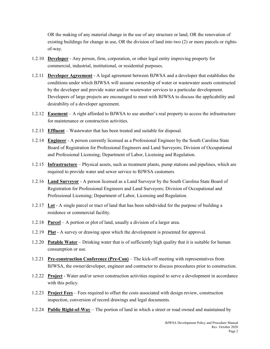OR the making of any material change in the use of any structure or land, OR the renovation of existing buildings for change in use, OR the division of land into two (2) or more parcels or rightsof-way.

- 1.2.10 **Developer** Any person, firm, corporation, or other legal entity improving property for commercial, industrial, institutional, or residential purposes.
- 1.2.11 **Developer Agreement** A legal agreement between BJWSA and a developer that establishes the conditions under which BJWSA will assume ownership of water or wastewater assets constructed by the developer and provide water and/or wastewater services to a particular development. Developers of large projects are encouraged to meet with BJWSA to discuss the applicability and desirability of a developer agreement.
- 1.2.12 **Easement** A right afforded to BJWSA to use another's real property to access the infrastructure for maintenance or construction activities.
- 1.2.13 **Effluent** Wastewater that has been treated and suitable for disposal.
- 1.2.14 **Engineer** A person currently licensed as a Professional Engineer by the South Carolina State Board of Registration for Professional Engineers and Land Surveyors; Division of Occupational and Professional Licensing; Department of Labor, Licensing and Regulation.
- 1.2.15 **Infrastructure** Physical assets, such as treatment plants, pump stations and pipelines, which are required to provide water and sewer service to BJWSA customers.
- 1.2.16 **Land Surveyor** A person licensed as a Land Surveyor by the South Carolina State Board of Registration for Professional Engineers and Land Surveyors; Division of Occupational and Professional Licensing; Department of Labor, Licensing and Regulation.
- 1.2.17 **Lot** A single parcel or tract of land that has been subdivided for the purpose of building a residence or commercial facility.
- 1.2.18 **Parcel** A portion or plot of land, usually a division of a larger area.
- 1.2.19 **Plat** A survey or drawing upon which the development is presented for approval.
- 1.2.20 **Potable Water** Drinking water that is of sufficiently high quality that it is suitable for human consumption or use.
- 1.2.21 **Pre-construction Conference (Pre-Con)** The kick-off meeting with representatives from BJWSA, the owner/developer, engineer and contractor to discuss procedures prior to construction.
- 1.2.22 **Project** Water and/or sewer construction activities required to serve a development in accordance with this policy.
- 1.2.23 **Project Fees** Fees required to offset the costs associated with design review, construction inspection, conversion of record drawings and legal documents.
- 1.2.24 **Public Right-of-Way** The portion of land in which a street or road owned and maintained by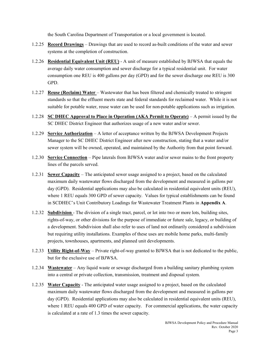the South Carolina Department of Transportation or a local government is located.

- 1.2.25 **Record Drawings** Drawings that are used to record as-built conditions of the water and sewer systems at the completion of construction.
- 1.2.26 **Residential Equivalent Unit (REU)** A unit of measure established by BJWSA that equals the average daily water consumption and sewer discharge for a typical residential unit. For water consumption one REU is 400 gallons per day (GPD) and for the sewer discharge one REU is 300 GPD.
- 1.2.27 **Reuse (Reclaim) Water**  Wastewater that has been filtered and chemically treated to stringent standards so that the effluent meets state and federal standards for reclaimed water. While it is not suitable for potable water, reuse water can be used for non-potable applications such as irrigation.
- 1.2.28 **SC DHEC Approval to Place in Operation (AKA Permit to Operate)** A permit issued by the SC DHEC District Engineer that authorizes usage of a new water and/or sewer.
- 1.2.29 **Service Authorization** A letter of acceptance written by the BJWSA Development Projects Manager to the SC DHEC District Engineer after new construction, stating that a water and/or sewer system will be owned, operated, and maintained by the Authority from that point forward.
- 1.2.30 **Service Connection** Pipe laterals from BJWSA water and/or sewer mains to the front property lines of the parcels served.
- 1.2.31 **Sewer Capacity** The anticipated sewer usage assigned to a project, based on the calculated maximum daily wastewater flows discharged from the development and measured in gallons per day (GPD). Residential applications may also be calculated in residential equivalent units (REU), where 1 REU equals 300 GPD of sewer capacity. Values for typical establishments can be found in SCDHEC's Unit Contributory Loadings for Wastewater Treatment Plants in **Appendix A**.
- 1.2.32 **Subdivision**  The division of a single tract, parcel, or lot into two or more lots, building sites, rights-of-way, or other divisions for the purpose of immediate or future sale, legacy, or building of a development. Subdivision shall also refer to uses of land not ordinarily considered a subdivision but requiring utility installations. Examples of these uses are mobile home parks, multi-family projects, townhouses, apartments, and planned unit developments.
- 1.2.33 **Utility Right-of-Way** Private right-of-way granted to BJWSA that is not dedicated to the public, but for the exclusive use of BJWSA.
- 1.2.34 **Wastewater** Any liquid waste or sewage discharged from a building sanitary plumbing system into a central or private collection, transmission, treatment and disposal system.
- 1.2.35 **Water Capacity** The anticipated water usage assigned to a project, based on the calculated maximum daily wastewater flows discharged from the development and measured in gallons per day (GPD). Residential applications may also be calculated in residential equivalent units (REU), where 1 REU equals 400 GPD of water capacity. For commercial applications, the water capacity is calculated at a rate of 1.3 times the sewer capacity.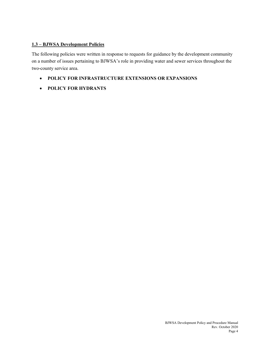#### **1.3 – BJWSA Development Policies**

The following policies were written in response to requests for guidance by the development community on a number of issues pertaining to BJWSA's role in providing water and sewer services throughout the two-county service area.

- **POLICY FOR INFRASTRUCTURE EXTENSIONS OR EXPANSIONS**
- **POLICY FOR HYDRANTS**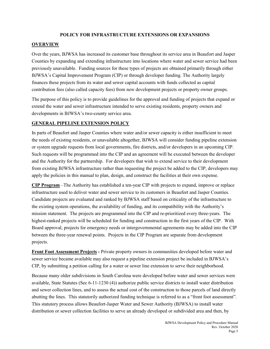#### **POLICY FOR INFRASTRUCTURE EXTENSIONS OR EXPANSIONS**

#### **OVERVIEW**

Over the years, BJWSA has increased its customer base throughout its service area in Beaufort and Jasper Counties by expanding and extending infrastructure into locations where water and sewer service had been previously unavailable. Funding sources for these types of projects are obtained primarily through either BJWSA's Capital Improvement Program (CIP) or through developer funding. The Authority largely finances these projects from its water and sewer capital accounts with funds collected as capital contribution fees (also called capacity fees) from new development projects or property owner groups.

The purpose of this policy is to provide guidelines for the approval and funding of projects that expand or extend the water and sewer infrastructure intended to serve existing residents, property owners and developments in BJWSA's two-county service area.

#### **GENERAL PIPELINE EXTENSION POLICY**

In parts of Beaufort and Jasper Counties where water and/or sewer capacity is either insufficient to meet the needs of existing residents, or unavailable altogether, BJWSA will consider funding pipeline extension or system upgrade requests from local governments, fire districts, and/or developers in an upcoming CIP. Such requests will be programmed into the CIP and an agreement will be executed between the developer and the Authority for the partnership. For developers that wish to extend service to their development from existing BJWSA infrastructure rather than requesting the project be added to the CIP, developers may apply the policies in this manual to plan, design, and construct the facilities at their own expense.

**CIP Program** –The Authority has established a ten-year CIP with projects to expand, improve or replace infrastructure used to deliver water and sewer service to its customers in Beaufort and Jasper Counties. Candidate projects are evaluated and ranked by BJWSA staff based on criticality of the infrastructure to the existing system operations, the availability of funding, and its compatibility with the Authority's mission statement. The projects are programmed into the CIP and re-prioritized every three-years. The highest-ranked projects will be scheduled for funding and construction in the first years of the CIP. With Board approval, projects for emergency needs or intergovernmental agreements may be added into the CIP between the three-year renewal points. Projects in the CIP Program are separate from development projects.

**Front Foot Assessment Projects -** Private property owners in communities developed before water and sewer service became available may also request a pipeline extension project be included in BJWSA's CIP, by submitting a petition calling for a water or sewer line extension to serve their neighborhood.

Because many older subdivisions in South Carolina were developed before water and sewer services were available, State Statutes (Sec 6-11-1230 (4)) authorize public service districts to install water distribution and sewer collection lines, and to assess the actual cost of the construction to those parcels of land directly abutting the lines. This statutorily authorized funding technique is referred to as a "front foot assessment". This statutory process allows Beaufort-Jasper Water and Sewer Authority (BJWSA) to install water distribution or sewer collection facilities to serve an already developed or subdivided area and then, by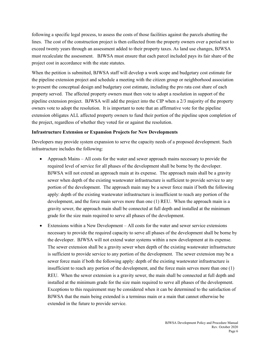following a specific legal process, to assess the costs of those facilities against the parcels abutting the lines. The cost of the construction project is then collected from the property owners over a period not to exceed twenty years through an assessment added to their property taxes. As land use changes, BJWSA must recalculate the assessment. BJWSA must ensure that each parcel included pays its fair share of the project cost in accordance with the state statutes.

When the petition is submitted, BJWSA staff will develop a work scope and budgetary cost estimate for the pipeline extension project and schedule a meeting with the citizen group or neighborhood association to present the conceptual design and budgetary cost estimate, including the pro rata cost share of each property served. The affected property owners must then vote to adopt a resolution in support of the pipeline extension project. BJWSA will add the project into the CIP when a 2/3 majority of the property owners vote to adopt the resolution. It is important to note that an affirmative vote for the pipeline extension obligates ALL affected property owners to fund their portion of the pipeline upon completion of the project, regardless of whether they voted for or against the resolution.

#### **Infrastructure Extension or Expansion Projects for New Developments**

Developers may provide system expansion to serve the capacity needs of a proposed development. Such infrastructure includes the following:

- Approach Mains All costs for the water and sewer approach mains necessary to provide the required level of service for all phases of the development shall be borne by the developer. BJWSA will not extend an approach main at its expense. The approach main shall be a gravity sewer when depth of the existing wastewater infrastructure is sufficient to provide service to any portion of the development. The approach main may be a sewer force main if both the following apply: depth of the existing wastewater infrastructure is insufficient to reach any portion of the development, and the force main serves more than one (1) REU. When the approach main is a gravity sewer, the approach main shall be connected at full depth and installed at the minimum grade for the size main required to serve all phases of the development.
- Extensions within a New Development All costs for the water and sewer service extensions necessary to provide the required capacity to serve all phases of the development shall be borne by the developer. BJWSA will not extend water systems within a new development at its expense. The sewer extension shall be a gravity sewer when depth of the existing wastewater infrastructure is sufficient to provide service to any portion of the development. The sewer extension may be a sewer force main if both the following apply: depth of the existing wastewater infrastructure is insufficient to reach any portion of the development, and the force main serves more than one (1) REU. When the sewer extension is a gravity sewer, the main shall be connected at full depth and installed at the minimum grade for the size main required to serve all phases of the development. Exceptions to this requirement may be considered when it can be determined to the satisfaction of BJWSA that the main being extended is a terminus main or a main that cannot otherwise be extended in the future to provide service.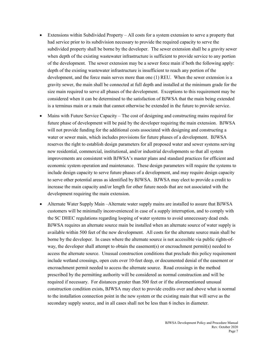- Extensions within Subdivided Property All costs for a system extension to serve a property that had service prior to its subdivision necessary to provide the required capacity to serve the subdivided property shall be borne by the developer. The sewer extension shall be a gravity sewer when depth of the existing wastewater infrastructure is sufficient to provide service to any portion of the development. The sewer extension may be a sewer force main if both the following apply: depth of the existing wastewater infrastructure is insufficient to reach any portion of the development, and the force main serves more than one (1) REU. When the sewer extension is a gravity sewer, the main shall be connected at full depth and installed at the minimum grade for the size main required to serve all phases of the development. Exceptions to this requirement may be considered when it can be determined to the satisfaction of BJWSA that the main being extended is a terminus main or a main that cannot otherwise be extended in the future to provide service.
- Mains with Future Service Capacity The cost of designing and constructing mains required for future phase of development will be paid by the developer requiring the main extension. BJWSA will not provide funding for the additional costs associated with designing and constructing a water or sewer main, which includes provisions for future phases of a development. BJWSA reserves the right to establish design parameters for all proposed water and sewer systems serving new residential, commercial, institutional, and/or industrial developments so that all system improvements are consistent with BJWSA's master plans and standard practices for efficient and economic system operation and maintenance. These design parameters will require the systems to include design capacity to serve future phases of a development, and may require design capacity to serve other potential areas as identified by BJWSA. BJWSA may elect to provide a credit to increase the main capacity and/or length for other future needs that are not associated with the development requiring the main extension.
- Alternate Water Supply Main –Alternate water supply mains are installed to assure that BJWSA customers will be minimally inconvenienced in case of a supply interruption, and to comply with the SC DHEC regulations regarding looping of water systems to avoid unnecessary dead ends. BJWSA requires an alternate source main be installed when an alternate source of water supply is available within 500 feet of the new development. All costs for the alternate source main shall be borne by the developer. In cases where the alternate source is not accessible via public rights-ofway, the developer shall attempt to obtain the easement(s) or encroachment permit(s) needed to access the alternate source. Unusual construction conditions that preclude this policy requirement include wetland crossings, open cuts over 10-feet deep, or documented denial of the easement or encroachment permit needed to access the alternate source. Road crossings in the method prescribed by the permitting authority will be considered as normal construction and will be required if necessary. For distances greater than 500 feet or if the aforementioned unusual construction condition exists, BJWSA may elect to provide credits over and above what is normal to the installation connection point in the new system or the existing main that will serve as the secondary supply source, and in all cases shall not be less than 6 inches in diameter.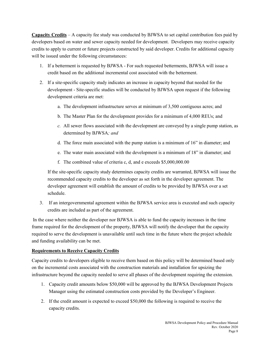**Capacity Credits** – A capacity fee study was conducted by BJWSA to set capital contribution fees paid by developers based on water and sewer capacity needed for development. Developers may receive capacity credits to apply to current or future projects constructed by said developer. Credits for additional capacity will be issued under the following circumstances:

- 1. If a betterment is requested by BJWSA For such requested betterments, BJWSA will issue a credit based on the additional incremental cost associated with the betterment.
- 2. If a site-specific capacity study indicates an increase in capacity beyond that needed for the development - Site-specific studies will be conducted by BJWSA upon request if the following development criteria are met:
	- a. The development infrastructure serves at minimum of 3,500 contiguous acres; and
	- b. The Master Plan for the development provides for a minimum of 4,000 REUs; and
	- *c.* All sewer flows associated with the development are conveyed by a single pump station, as determined by BJWSA*; and*
	- d. The force main associated with the pump station is a minimum of 16" in diameter; and
	- e. The water main associated with the development is a minimum of 18" in diameter; and
	- f. The combined value of criteria c, d, and e exceeds \$5,000,000.00

If the site-specific capacity study determines capacity credits are warranted, BJWSA will issue the recommended capacity credits to the developer as set forth in the developer agreement. The developer agreement will establish the amount of credits to be provided by BJWSA over a set schedule.

3. If an intergovernmental agreement within the BJWSA service area is executed and such capacity credits are included as part of the agreement.

In the case where neither the developer nor BJWSA is able to fund the capacity increases in the time frame required for the development of the property, BJWSA will notify the developer that the capacity required to serve the development is unavailable until such time in the future where the project schedule and funding availability can be met.

#### **Requirements to Receive Capacity Credits**

Capacity credits to developers eligible to receive them based on this policy will be determined based only on the incremental costs associated with the construction materials and installation for upsizing the infrastructure beyond the capacity needed to serve all phases of the development requiring the extension.

- 1. Capacity credit amounts below \$50,000 will be approved by the BJWSA Development Projects Manager using the estimated construction costs provided by the Developer's Engineer.
- 2. If the credit amount is expected to exceed \$50,000 the following is required to receive the capacity credits.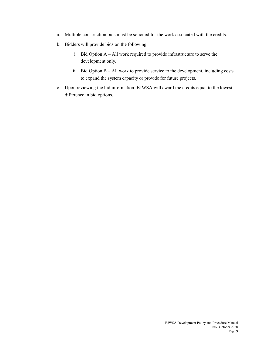- a. Multiple construction bids must be solicited for the work associated with the credits.
- b. Bidders will provide bids on the following:
	- i. Bid Option A All work required to provide infrastructure to serve the development only.
	- ii. Bid Option  $B All$  work to provide service to the development, including costs to expand the system capacity or provide for future projects.
- c. Upon reviewing the bid information, BJWSA will award the credits equal to the lowest difference in bid options.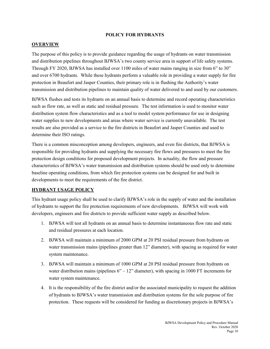#### **POLICY FOR HYDRANTS**

#### **OVERVIEW**

The purpose of this policy is to provide guidance regarding the usage of hydrants on water transmission and distribution pipelines throughout BJWSA's two county service area in support of life safety systems. Through FY 2020, BJWSA has installed over 1100 miles of water mains ranging in size from 6" to 30" and over 6700 hydrants. While these hydrants perform a valuable role in providing a water supply for fire protection in Beaufort and Jasper Counties, their primary role is in flushing the Authority's water transmission and distribution pipelines to maintain quality of water delivered to and used by our customers.

BJWSA flushes and tests its hydrants on an annual basis to determine and record operating characteristics such as flow rate, as well as static and residual pressure. The test information is used to monitor water distribution system flow characteristics and as a tool to model system performance for use in designing water supplies to new developments and areas where water service is currently unavailable. The test results are also provided as a service to the fire districts in Beaufort and Jasper Counties and used to determine their ISO ratings.

There is a common misconception among developers, engineers, and even fire districts, that BJWSA is responsible for providing hydrants and supplying the necessary fire flows and pressures to meet the fire protection design conditions for proposed development projects. In actuality, the flow and pressure characteristics of BJWSA's water transmission and distribution systems should be used only to determine baseline operating conditions, from which fire protection systems can be designed for and built in developments to meet the requirements of the fire district.

#### **HYDRANT USAGE POLICY**

This hydrant usage policy shall be used to clarify BJWSA's role in the supply of water and the installation of hydrants to support the fire protection requirements of new developments. BJWSA will work with developers, engineers and fire districts to provide sufficient water supply as described below.

- 1. BJWSA will test all hydrants on an annual basis to determine instantaneous flow rate and static and residual pressures at each location.
- 2. BJWSA will maintain a minimum of 2000 GPM at 20 PSI residual pressure from hydrants on water transmission mains (pipelines greater than 12" diameter), with spacing as required for water system maintenance.
- 3. BJWSA will maintain a minimum of 1000 GPM at 20 PSI residual pressure from hydrants on water distribution mains (pipelines  $6" - 12"$  diameter), with spacing in 1000 FT increments for water system maintenance.
- 4. It is the responsibility of the fire district and/or the associated municipality to request the addition of hydrants to BJWSA's water transmission and distribution systems for the sole purpose of fire protection. These requests will be considered for funding as discretionary projects in BJWSA's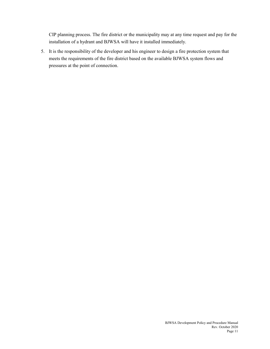CIP planning process. The fire district or the municipality may at any time request and pay for the installation of a hydrant and BJWSA will have it installed immediately.

5. It is the responsibility of the developer and his engineer to design a fire protection system that meets the requirements of the fire district based on the available BJWSA system flows and pressures at the point of connection.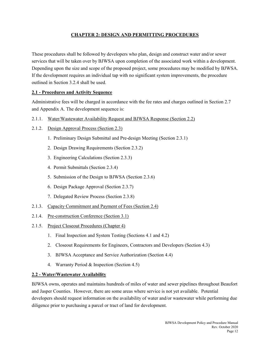#### **CHAPTER 2: DESIGN AND PERMITTING PROCEDURES**

These procedures shall be followed by developers who plan, design and construct water and/or sewer services that will be taken over by BJWSA upon completion of the associated work within a development. Depending upon the size and scope of the proposed project, some procedures may be modified by BJWSA. If the development requires an individual tap with no significant system improvements, the procedure outlined in Section 3.2.4 shall be used.

#### **2.1 - Procedures and Activity Sequence**

Administrative fees will be charged in accordance with the fee rates and charges outlined in Section 2.7 and Appendix A. The development sequence is:

- 2.1.1. Water/Wastewater Availability Request and BJWSA Response (Section 2.2)
- 2.1.2. Design Approval Process (Section 2.3)
	- 1. Preliminary Design Submittal and Pre-design Meeting (Section 2.3.1)
	- 2. Design Drawing Requirements (Section 2.3.2)
	- 3. Engineering Calculations (Section 2.3.3)
	- 4. Permit Submittals (Section 2.3.4)
	- 5. Submission of the Design to BJWSA (Section 2.3.6)
	- 6. Design Package Approval (Section 2.3.7)
	- 7. Delegated Review Process (Section 2.3.8)
- 2.1.3. Capacity Commitment and Payment of Fees (Section 2.4)
- 2.1.4. Pre-construction Conference (Section 3.1)
- 2.1.5. Project Closeout Procedures (Chapter 4)
	- 1. Final Inspection and System Testing (Sections 4.1 and 4.2)
	- 2. Closeout Requirements for Engineers, Contractors and Developers (Section 4.3)
	- 3. BJWSA Acceptance and Service Authorization (Section 4.4)
	- 4. Warranty Period & Inspection (Section 4.5)

#### **2.2 - Water/Wastewater Availability**

BJWSA owns, operates and maintains hundreds of miles of water and sewer pipelines throughout Beaufort and Jasper Counties. However, there are some areas where service is not yet available. Potential developers should request information on the availability of water and/or wastewater while performing due diligence prior to purchasing a parcel or tract of land for development.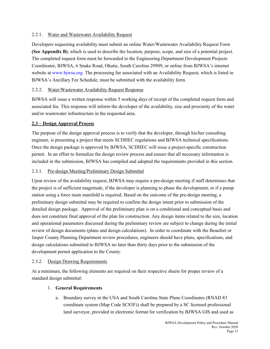#### 2.2.1. Water and Wastewater Availability Request

Developers requesting availability must submit an online Water/Wastewater Availability Request Form **(See Appendix B)**, which is used to describe the location, purpose, scope, and size of a potential project. The completed request form must be forwarded to the Engineering Department Development Projects Coordinator, BJWSA, 6 Snake Road, Okatie, South Carolina 29909, or online from BJWSA's internet website at www.bjwsa.org. The processing fee associated with an Availability Request, which is listed in BJWSA's Ancillary Fee Schedule, must be submitted with the availability form.

#### 2.2.2. Water/Wastewater Availability Request Response

BJWSA will issue a written response within 5 working days of receipt of the completed request form and associated fee. This response will inform the developer of the availability, size and proximity of the water and/or wastewater infrastructure in the requested area.

#### **2.3 – Design Approval Process**

The purpose of the design approval process is to verify that the developer, through his/her consulting engineer, is presenting a project that meets SCDHEC regulations and BJWSA technical specifications. Once the design package is approved by BJWSA, SCDHEC will issue a project-specific construction permit. In an effort to formalize the design review process and ensure that all necessary information is included in the submission, BJWSA has compiled and adopted the requirements provided in this section.

#### 2.3.1. Pre-design Meeting/Preliminary Design Submittal

Upon review of the availability request, BJWSA may require a pre-design meeting if staff determines that the project is of sufficient magnitude, if the developer is planning to phase the development, or if a pump station using a force main manifold is required. Based on the outcome of the pre-design meeting, a preliminary design submittal may be required to confirm the design intent prior to submission of the detailed design package. Approval of the preliminary plan is on a conditional and conceptual basis and does not constitute final approval of the plan for construction. Any design items related to the size, location and operational parameters discussed during the preliminary review are subject to change during the initial review of design documents (plans and design calculations). In order to coordinate with the Beaufort or Jasper County Planning Department review procedures, engineers should have plans, specifications, and design calculations submitted to BJWSA no later than thirty days prior to the submission of the development permit application to the County.

#### 2.3.2. Design Drawing Requirements

At a minimum, the following elements are required on their respective sheets for proper review of a standard design submittal:

#### 1. **General Requirements**

a. Boundary survey in the USA and South Carolina State Plane Coordinates (RNAD 83 coordinate system (Map Code SC83F)) shall be prepared by a SC licensed professional land surveyor, provided in electronic format for verification by BJWSA GIS and used as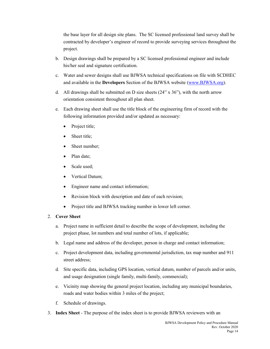the base layer for all design site plans. The SC licensed professional land survey shall be contracted by developer's engineer of record to provide surveying services throughout the project.

- b. Design drawings shall be prepared by a SC licensed professional engineer and include his/her seal and signature certification.
- c. Water and sewer designs shall use BJWSA technical specifications on file with SCDHEC and available in the **Developers** Section of the BJWSA website [\(www.BJWSA.org\)](http://www.bjwsa.org/).
- d. All drawings shall be submitted on D size sheets  $(24" \times 36")$ , with the north arrow orientation consistent throughout all plan sheet.
- e. Each drawing sheet shall use the title block of the engineering firm of record with the following information provided and/or updated as necessary:
	- Project title;
	- Sheet title;
	- Sheet number;
	- Plan date;
	- Scale used:
	- Vertical Datum;
	- Engineer name and contact information;
	- Revision block with description and date of each revision;
	- Project title and BJWSA tracking number in lower left corner.

#### 2. **Cover Sheet**

- a. Project name in sufficient detail to describe the scope of development, including the project phase, lot numbers and total number of lots, if applicable;
- b. Legal name and address of the developer, person in charge and contact information;
- c. Project development data, including governmental jurisdiction, tax map number and 911 street address;
- d. Site specific data, including GPS location, vertical datum, number of parcels and/or units, and usage designation (single family, multi-family, commercial);
- e. Vicinity map showing the general project location, including any municipal boundaries, roads and water bodies within 3 miles of the project;
- f. Schedule of drawings.
- 3. **Index Sheet** The purpose of the index sheet is to provide BJWSA reviewers with an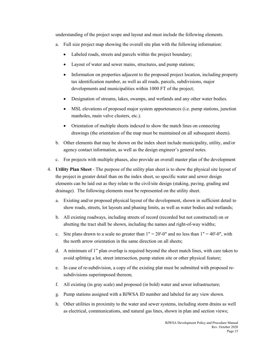understanding of the project scope and layout and must include the following elements.

- a. Full size project map showing the overall site plan with the following information:
	- Labeled roads, streets and parcels within the project boundary;
	- Layout of water and sewer mains, structures, and pump stations;
	- Information on properties adjacent to the proposed project location, including property tax identification number, as well as all roads, parcels, subdivisions, major developments and municipalities within 1000 FT of the project;
	- Designation of streams, lakes, swamps, and wetlands and any other water bodies.
	- MSL elevations of proposed major system appurtenances (i.e. pump stations, junction manholes, main valve clusters, etc.).
	- Orientation of multiple sheets indexed to show the match lines on connecting drawings (the orientation of the map must be maintained on all subsequent sheets).
- b. Other elements that may be shown on the index sheet include municipality, utility, and/or agency contact information, as well as the design engineer's general notes.
- c. For projects with multiple phases, also provide an overall master plan of the development
- 4. **Utility Plan Sheet** The purpose of the utility plan sheet is to show the physical site layout of the project in greater detail than on the index sheet, so specific water and sewer design elements can be laid out as they relate to the civil/site design (staking, paving, grading and drainage). The following elements must be represented on the utility sheet.
	- a. Existing and/or proposed physical layout of the development, shown in sufficient detail to show roads, streets, lot layouts and phasing limits, as well as water bodies and wetlands;
	- b. All existing roadways, including streets of record (recorded but not constructed) on or abutting the tract shall be shown, including the names and right-of-way widths;
	- c. Site plans drawn to a scale no greater than  $1" = 20'-0"$  and no less than  $1" = 40'-0"$ , with the north arrow orientation in the same direction on all sheets;
	- d. A minimum of 1" plan overlap is required beyond the sheet match lines, with care taken to avoid splitting a lot, street intersection, pump station site or other physical feature;
	- e. In case of re-subdivision, a copy of the existing plat must be submitted with proposed resubdivisions superimposed thereon;
	- f. All existing (in gray scale) and proposed (in bold) water and sewer infrastructure;
	- g. Pump stations assigned with a BJWSA ID number and labeled for any view shown.
	- h. Other utilities in proximity to the water and sewer systems, including storm drains as well as electrical, communications, and natural gas lines, shown in plan and section views;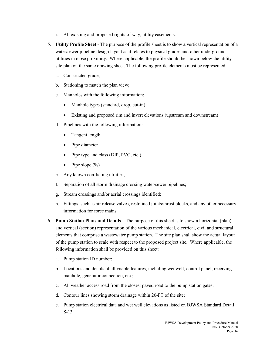- i. All existing and proposed rights-of-way, utility easements.
- 5. **Utility Profile Sheet**  The purpose of the profile sheet is to show a vertical representation of a water/sewer pipeline design layout as it relates to physical grades and other underground utilities in close proximity. Where applicable, the profile should be shown below the utility site plan on the same drawing sheet. The following profile elements must be represented:
	- a. Constructed grade;
	- b. Stationing to match the plan view;
	- c. Manholes with the following information:
		- Manhole types (standard, drop, cut-in)
		- Existing and proposed rim and invert elevations (upstream and downstream)
	- d. Pipelines with the following information:
		- Tangent length
		- Pipe diameter
		- Pipe type and class (DIP, PVC, etc.)
		- Pipe slope  $(\% )$
	- e. Any known conflicting utilities;
	- f. Separation of all storm drainage crossing water/sewer pipelines;
	- g. Stream crossings and/or aerial crossings identified;
	- h. Fittings, such as air release valves, restrained joints/thrust blocks, and any other necessary information for force mains.
- 6. **Pump Station Plans and Details** The purpose of this sheet is to show a horizontal (plan) and vertical (section) representation of the various mechanical, electrical, civil and structural elements that comprise a wastewater pump station. The site plan shall show the actual layout of the pump station to scale with respect to the proposed project site. Where applicable, the following information shall be provided on this sheet:
	- a. Pump station ID number;
	- b. Locations and details of all visible features, including wet well, control panel, receiving manhole, generator connection, etc.;
	- c. All weather access road from the closest paved road to the pump station gates;
	- d. Contour lines showing storm drainage within 20-FT of the site;
	- e. Pump station electrical data and wet well elevations as listed on BJWSA Standard Detail S-13.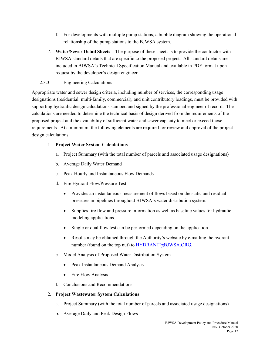- f. For developments with multiple pump stations, a bubble diagram showing the operational relationship of the pump stations to the BJWSA system.
- 7. **Water/Sewer Detail Sheets**  The purpose of these sheets is to provide the contractor with BJWSA standard details that are specific to the proposed project. All standard details are included in BJWSA's Technical Specification Manual and available in PDF format upon request by the developer's design engineer.

#### 2.3.3. Engineering Calculations

Appropriate water and sewer design criteria, including number of services, the corresponding usage designations (residential, multi-family, commercial), and unit contributory loadings, must be provided with supporting hydraulic design calculations stamped and signed by the professional engineer of record. The calculations are needed to determine the technical basis of design derived from the requirements of the proposed project and the availability of sufficient water and sewer capacity to meet or exceed those requirements. At a minimum, the following elements are required for review and approval of the project design calculations:

#### 1. **Project Water System Calculations**

- a. Project Summary (with the total number of parcels and associated usage designations)
- b. Average Daily Water Demand
- c. Peak Hourly and Instantaneous Flow Demands
- d. Fire Hydrant Flow/Pressure Test
	- Provides an instantaneous measurement of flows based on the static and residual pressures in pipelines throughout BJWSA's water distribution system.
	- Supplies fire flow and pressure information as well as baseline values for hydraulic modeling applications.
	- Single or dual flow test can be performed depending on the application.
	- Results may be obtained through the Authority's website by e-mailing the hydrant number (found on the top nut) to [HYDRANT@BJWSA.ORG.](mailto:HYDRANT@BJWSA.ORG)
- e. Model Analysis of Proposed Water Distribution System
	- Peak Instantaneous Demand Analysis
	- Fire Flow Analysis
- f. Conclusions and Recommendations

#### 2. **Project Wastewater System Calculations**

- a. Project Summary (with the total number of parcels and associated usage designations)
- b. Average Daily and Peak Design Flows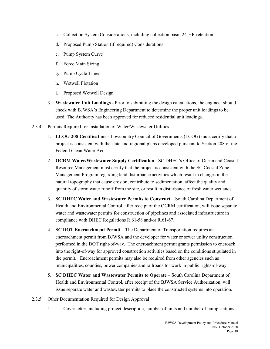- c. Collection System Considerations, including collection basin 24-HR retention.
- d. Proposed Pump Station (if required) Considerations
- e. Pump System Curve
- f. Force Main Sizing
- g. Pump Cycle Times
- h. Wetwell Flotation
- i. Proposed Wetwell Design
- 3. **Wastewater Unit Loadings -** Prior to submitting the design calculations, the engineer should check with BJWSA's Engineering Department to determine the proper unit loadings to be used. The Authority has been approved for reduced residential unit loadings.

#### 2.3.4. Permits Required for Installation of Water/Wastewater Utilities

- 1. **LCOG 208 Certification** Lowcountry Council of Governments (LCOG) must certify that a project is consistent with the state and regional plans developed pursuant to Section 208 of the Federal Clean Water Act.
- 2. **OCRM Water/Wastewater Supply Certification** SC DHEC's Office of Ocean and Coastal Resource Management must certify that the project is consistent with the SC Coastal Zone Management Program regarding land disturbance activities which result in changes in the natural topography that cause erosion, contribute to sedimentation, affect the quality and quantity of storm water runoff from the site, or result in disturbance of fresh water wetlands.
- 3. **SC DHEC Water and Wastewater Permits to Construct**  South Carolina Department of Health and Environmental Control, after receipt of the OCRM certification, will issue separate water and wastewater permits for construction of pipelines and associated infrastructure in compliance with DHEC Regulations R.61-58 and/or R.61-67.
- 4. **SC DOT Encroachment Permit** The Department of Transportation requires an encroachment permit from BJWSA and the developer for water or sewer utility construction performed in the DOT right-of-way. The encroachment permit grants permission to encroach into the right-of-way for approved construction activities based on the conditions stipulated in the permit. Encroachment permits may also be required from other agencies such as municipalities, counties, power companies and railroads for work in public rights-of-way.
- 5. **SC DHEC Water and Wastewater Permits to Operate** South Carolina Department of Health and Environmental Control, after receipt of the BJWSA Service Authorization, will issue separate water and wastewater permits to place the constructed systems into operation.
- 2.3.5. Other Documentation Required for Design Approval
	- 1. Cover letter, including project description, number of units and number of pump stations.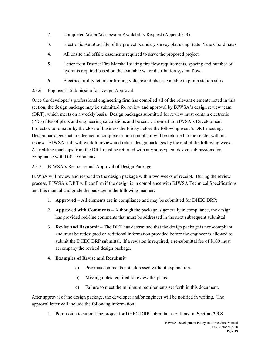- 2. Completed Water/Wastewater Availability Request (Appendix B).
- 3. Electronic AutoCad file of the project boundary survey plat using State Plane Coordinates.
- 4. All onsite and offsite easements required to serve the proposed project.
- 5. Letter from District Fire Marshall stating fire flow requirements, spacing and number of hydrants required based on the available water distribution system flow.
- 6. Electrical utility letter confirming voltage and phase available to pump station sites.

#### 2.3.6. Engineer's Submission for Design Approval

Once the developer's professional engineering firm has compiled all of the relevant elements noted in this section, the design package may be submitted for review and approval by BJWSA's design review team (DRT), which meets on a weekly basis. Design packages submitted for review must contain electronic (PDF) files of plans and engineering calculations and be sent via e-mail to BJWSA's Development Projects Coordinator by the close of business the Friday before the following week's DRT meeting. Design packages that are deemed incomplete or non-compliant will be returned to the sender without review. BJWSA staff will work to review and return design packages by the end of the following week. All red-line mark-ups from the DRT must be returned with any subsequent design submissions for compliance with DRT comments.

#### 2.3.7. BJWSA's Response and Approval of Design Package

BJWSA will review and respond to the design package within two weeks of receipt. During the review process, BJWSA's DRT will confirm if the design is in compliance with BJWSA Technical Specifications and this manual and grade the package in the following manner:

- 1. **Approved** All elements are in compliance and may be submitted for DHEC DRP;
- 2. **Approved with Comments** Although the package is generally in compliance, the design has provided red-line comments that must be addressed in the next subsequent submittal;
- 3. **Revise and Resubmit** The DRT has determined that the design package is non-compliant and must be redesigned or additional information provided before the engineer is allowed to submit the DHEC DRP submittal. If a revision is required, a re-submittal fee of \$100 must accompany the revised design package.

#### 4. **Examples of Revise and Resubmit**

- a) Previous comments not addressed without explanation.
- b) Missing notes required to review the plans.
- c) Failure to meet the minimum requirements set forth in this document.

After approval of the design package, the developer and/or engineer will be notified in writing. The approval letter will include the following information:

1. Permission to submit the project for DHEC DRP submittal as outlined in **Section 2.3.8**.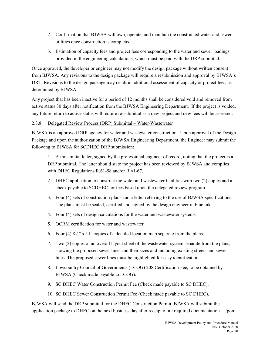- 2. Confirmation that BJWSA will own, operate, and maintain the constructed water and sewer utilities once construction is completed.
- 3. Estimation of capacity fees and project fees corresponding to the water and sewer loadings provided in the engineering calculations, which must be paid with the DRP submittal.

Once approved, the developer or engineer may not modify the design package without written consent from BJWSA. Any revisions to the design package will require a resubmission and approval by BJWSA's DRT. Revisions to the design package may result in additional assessment of capacity or project fees, as determined by BJWSA.

Any project that has been inactive for a period of 12 months shall be considered void and removed from active status 30 days after notification from the BJWSA Engineering Department. If the project is voided, any future return to active status will require re-submittal as a new project and new fees will be assessed.

#### 2.3.8. Delegated Review Process (DRP) Submittal – Water/Wastewater

BJWSA is an approved DRP agency for water and wastewater construction. Upon approval of the Design Package and upon the authorization of the BJWSA Engineering Department, the Engineer may submit the following to BJWSA for SCDHEC DRP submission:

1. A transmittal letter, signed by the professional engineer of record, noting that the project is a DRP submittal. The letter should state the project has been reviewed by BJWSA and complies with DHEC Regulations R.61-58 and/or R.61-67.

- 2. DHEC application to construct the water and wastewater facilities with two (2) copies and a check payable to SCDHEC for fees based upon the delegated review program.
- 3. Four (4) sets of construction plans and a letter referring to the use of BJWSA specifications. The plans must be sealed, certified and signed by the design engineer in blue ink.
- 4. Four (4) sets of design calculations for the water and wastewater systems.
- 5. OCRM certification for water and wastewater.
- 6. Four (4)  $8\frac{1}{2}$ " x 11" copies of a detailed location map separate from the plans.
- 7. Two (2) copies of an overall layout sheet of the wastewater system separate from the plans, showing the proposed sewer lines and their sizes and including existing streets and sewer lines. The proposed sewer lines must be highlighted for easy identification.
- 8. Lowcountry Council of Governments (LCOG) 208 Certification Fee, to be obtained by BJWSA (Check made payable to LCOG).
- 9. SC DHEC Water Construction Permit Fee (Check made payable to SC DHEC).
- 10. SC DHEC Sewer Construction Permit Fee (Check made payable to SC DHEC).

BJWSA will send the DRP submittal for the DHEC Construction Permit. BJWSA will submit the application package to DHEC on the next business day after receipt of all required documentation. Upon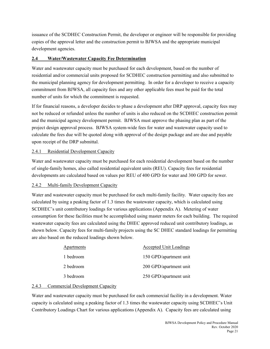issuance of the SCDHEC Construction Permit, the developer or engineer will be responsible for providing copies of the approval letter and the construction permit to BJWSA and the appropriate municipal development agencies.

#### **2.4 Water/Wastewater Capacity Fee Determination**

Water and wastewater capacity must be purchased for each development, based on the number of residential and/or commercial units proposed for SCDHEC construction permitting and also submitted to the municipal planning agency for development permitting. In order for a developer to receive a capacity commitment from BJWSA, all capacity fees and any other applicable fees must be paid for the total number of units for which the commitment is requested.

If for financial reasons, a developer decides to phase a development after DRP approval, capacity fees may not be reduced or refunded unless the number of units is also reduced on the SCDHEC construction permit and the municipal agency development permit. BJWSA must approve the phasing plan as part of the project design approval process. BJWSA system-wide fees for water and wastewater capacity used to calculate the fees due will be quoted along with approval of the design package and are due and payable upon receipt of the DRP submittal.

#### 2.4.1 Residential Development Capacity

Water and wastewater capacity must be purchased for each residential development based on the number of single-family homes, also called residential equivalent units (REU). Capacity fees for residential developments are calculated based on values per REU of 400 GPD for water and 300 GPD for sewer.

#### 2.4.2 Multi-family Development Capacity

Water and wastewater capacity must be purchased for each multi-family facility. Water capacity fees are calculated by using a peaking factor of 1.3 times the wastewater capacity, which is calculated using SCDHEC's unit contributory loadings for various applications (Appendix A). Metering of water consumption for these facilities must be accomplished using master meters for each building. The required wastewater capacity fees are calculated using the DHEC approved reduced unit contributory loadings, as shown below. Capacity fees for multi-family projects using the SC DHEC standard loadings for permitting are also based on the reduced loadings shown below.

| <b>Apartments</b> | <b>Accepted Unit Loadings</b> |
|-------------------|-------------------------------|
| 1 bedroom         | 150 GPD/apartment unit        |
| 2 bedroom         | 200 GPD/apartment unit        |
| 3 bedroom         | 250 GPD/apartment unit        |

#### 2.4.3 Commercial Development Capacity

Water and wastewater capacity must be purchased for each commercial facility in a development. Water capacity is calculated using a peaking factor of 1.3 times the wastewater capacity using SCDHEC's Unit Contributory Loadings Chart for various applications (Appendix A). Capacity fees are calculated using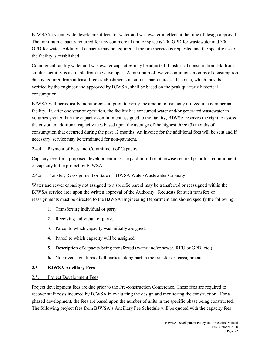BJWSA's system-wide development fees for water and wastewater in effect at the time of design approval. The minimum capacity required for any commercial unit or space is 200 GPD for wastewater and 300 GPD for water. Additional capacity may be required at the time service is requested and the specific use of the facility is established.

Commercial facility water and wastewater capacities may be adjusted if historical consumption data from similar facilities is available from the developer. A minimum of twelve continuous months of consumption data is required from at least three establishments in similar market areas. The data, which must be verified by the engineer and approved by BJWSA, shall be based on the peak quarterly historical consumption.

BJWSA will periodically monitor consumption to verify the amount of capacity utilized in a commercial facility. If, after one year of operation, the facility has consumed water and/or generated wastewater in volumes greater than the capacity commitment assigned to the facility, BJWSA reserves the right to assess the customer additional capacity fees based upon the average of the highest three (3) months of consumption that occurred during the past 12 months. An invoice for the additional fees will be sent and if necessary, service may be terminated for non-payment.

#### 2.4.4 Payment of Fees and Commitment of Capacity

Capacity fees for a proposed development must be paid in full or otherwise secured prior to a commitment of capacity to the project by BJWSA.

#### 2.4.5 Transfer, Reassignment or Sale of BJWSA Water/Wastewater Capacity

Water and sewer capacity not assigned to a specific parcel may be transferred or reassigned within the BJWSA service area upon the written approval of the Authority. Requests for such transfers or reassignments must be directed to the BJWSA Engineering Department and should specify the following:

- 1. Transferring individual or party.
- 2. Receiving individual or party.
- 3. Parcel to which capacity was initially assigned.
- 4. Parcel to which capacity will be assigned.
- 5. Description of capacity being transferred (water and/or sewer, REU or GPD, etc.).
- **6.** Notarized signatures of all parties taking part in the transfer or reassignment.

#### **2.5 BJWSA Ancillary Fees**

#### 2.5.1 Project Development Fees

Project development fees are due prior to the Pre-construction Conference. These fees are required to recover staff costs incurred by BJWSA in evaluating the design and monitoring the construction. For a phased development, the fees are based upon the number of units in the specific phase being constructed. The following project fees from BJWSA's Ancillary Fee Schedule will be quoted with the capacity fees: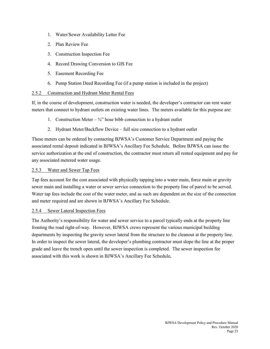- 1. Water/Sewer Availability Letter Fee
- 2. Plan Review Fee
- 3. Construction Inspection Fee
- 4. Record Drawing Conversion to GIS Fee
- 5. Easement Recording Fee
- 6. Pump Station Deed Recording Fee (if a pump station is included in the project)

#### 2.5.2 Construction and Hydrant Meter Rental Fees

If, in the course of development, construction water is needed, the developer's contractor can rent water meters that connect to hydrant outlets on existing water lines. The meters available for this purpose are:

- 1. Construction Meter  $\frac{3}{4}$ " hose bibb connection to a hydrant outlet
- 2. Hydrant Meter/Backflow Device full size connection to a hydrant outlet

These meters can be ordered by contacting BJWSA's Customer Service Department and paying the associated rental deposit indicated in BJWSA's Ancillary Fee Schedule. Before BJWSA can issue the service authorization at the end of construction, the contractor must return all rented equipment and pay for any associated metered water usage.

#### 2.5.3 Water and Sewer Tap Fees

Tap fees account for the cost associated with physically tapping into a water main, force main or gravity sewer main and installing a water or sewer service connection to the property line of parcel to be served. Water tap fees include the cost of the water meter, and as such are dependent on the size of the connection and meter required and are shown in BJWSA's Ancillary Fee Schedule.

#### 2.5.4 Sewer Lateral Inspection Fees

The Authority's responsibility for water and sewer service to a parcel typically ends at the property line fronting the road right-of-way. However, BJWSA crews represent the various municipal building departments by inspecting the gravity sewer lateral from the structure to the cleanout at the property line. In order to inspect the sewer lateral, the developer's plumbing contractor must slope the line at the proper grade and leave the trench open until the sewer inspection is completed. The sewer inspection fee associated with this work is shown in BJWSA's Ancillary Fee Schedule**.**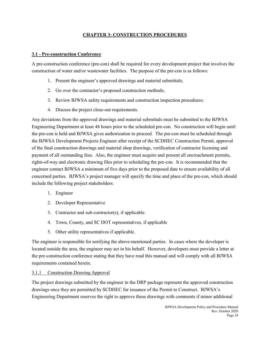#### **CHAPTER 3: CONSTRUCTION PROCEDURES**

#### **3.1 - Pre-construction Conference**

A pre-construction conference (pre-con) shall be required for every development project that involves the construction of water and/or wastewater facilities. The purpose of the pre-con is as follows:

- 1. Present the engineer's approved drawings and material submittals;
- 2. Go over the contractor's proposed construction methods;
- 3. Review BJWSA safety requirements and construction inspection procedures;
- 4. Discuss the project close-out requirements.

Any deviations from the approved drawings and material submittals must be submitted to the BJWSA Engineering Department at least 48 hours prior to the scheduled pre-con. No construction will begin until the pre-con is held and BJWSA gives authorization to proceed. The pre-con must be scheduled through the BJWSA Development Projects Engineer after receipt of the SCDHEC Construction Permit, approval of the final construction drawings and material shop drawings, verification of contractor licensing and payment of all outstanding fees. Also, the engineer must acquire and present all encroachment permits, rights-of-way and electronic drawing files prior to scheduling the pre-con. It is recommended that the engineer contact BJWSA a minimum of five days prior to the proposed date to ensure availability of all concerned parties. BJWSA's project manager will specify the time and place of the pre-con, which should include the following project stakeholders:

- 1. Engineer
- 2. Developer Representative
- 3. Contractor and sub-contractor(s), if applicable.
- 4. Town, County, and SC DOT representatives, if applicable
- 5. Other utility representatives if applicable.

The engineer is responsible for notifying the above-mentioned parties. In cases where the developer is located outside the area, the engineer may act in his behalf. However, developers must provide a letter at the pre-construction conference stating that they have read this manual and will comply with all BJWSA requirements contained herein.

#### 3.1.1 Construction Drawing Approval

The project drawings submitted by the engineer in the DRP package represent the approved construction drawings once they are permitted by SCDHEC for issuance of the Permit to Construct. BJWSA's Engineering Department reserves the right to approve these drawings with comments if minor additional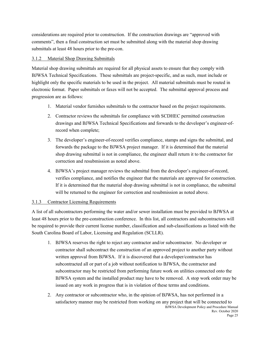considerations are required prior to construction. If the construction drawings are "approved with comments", then a final construction set must be submitted along with the material shop drawing submittals at least 48 hours prior to the pre-con.

#### 3.1.2 Material Shop Drawing Submittals

Material shop drawing submittals are required for all physical assets to ensure that they comply with BJWSA Technical Specifications. These submittals are project-specific, and as such, must include or highlight only the specific materials to be used in the project. All material submittals must be routed in electronic format. Paper submittals or faxes will not be accepted. The submittal approval process and progression are as follows:

- 1. Material vendor furnishes submittals to the contractor based on the project requirements.
- 2. Contractor reviews the submittals for compliance with SCDHEC permitted construction drawings and BJWSA Technical Specifications and forwards to the developer's engineer-ofrecord when complete;
- 3. The developer's engineer-of-record verifies compliance, stamps and signs the submittal, and forwards the package to the BJWSA project manager. If it is determined that the material shop drawing submittal is not in compliance, the engineer shall return it to the contractor for correction and resubmission as noted above.
- 4. BJWSA's project manager reviews the submittal from the developer's engineer-of-record, verifies compliance, and notifies the engineer that the materials are approved for construction. If it is determined that the material shop drawing submittal is not in compliance, the submittal will be returned to the engineer for correction and resubmission as noted above.

#### 3.1.3 Contractor Licensing Requirements

A list of all subcontractors performing the water and/or sewer installation must be provided to BJWSA at least 48 hours prior to the pre-construction conference. In this list, all contractors and subcontractors will be required to provide their current license number, classification and sub-classifications as listed with the South Carolina Board of Labor, Licensing and Regulation (SCLLR).

- 1. BJWSA reserves the right to reject any contractor and/or subcontractor. No developer or contractor shall subcontract the construction of an approved project to another party without written approval from BJWSA. If it is discovered that a developer/contractor has subcontracted all or part of a job without notification to BJWSA, the contractor and subcontractor may be restricted from performing future work on utilities connected onto the BJWSA system and the installed product may have to be removed. A stop work order may be issued on any work in progress that is in violation of these terms and conditions.
- BJWSA Development Policy and Procedure Manual Rev. October 2020 2. Any contractor or subcontractor who, in the opinion of BJWSA, has not performed in a satisfactory manner may be restricted from working on any project that will be connected to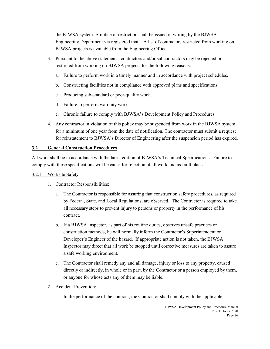the BJWSA system. A notice of restriction shall be issued in writing by the BJWSA Engineering Department via registered mail. A list of contractors restricted from working on BJWSA projects is available from the Engineering Office.

- 3. Pursuant to the above statements, contractors and/or subcontractors may be rejected or restricted from working on BJWSA projects for the following reasons:
	- a. Failure to perform work in a timely manner and in accordance with project schedules.
	- b. Constructing facilities not in compliance with approved plans and specifications.
	- c. Producing sub-standard or poor-quality work.
	- d. Failure to perform warranty work.
	- e. Chronic failure to comply with BJWSA's Development Policy and Procedures.
- 4. Any contractor in violation of this policy may be suspended from work in the BJWSA system for a minimum of one year from the date of notification. The contractor must submit a request for reinstatement to BJWSA's Director of Engineering after the suspension period has expired.

#### **3.2 General Construction Procedures**

All work shall be in accordance with the latest edition of BJWSA's Technical Specifications. Failure to comply with these specifications will be cause for rejection of all work and as-built plans.

#### 3.2.1 Worksite Safety

- 1. Contractor Responsibilities:
	- a. The Contractor is responsible for assuring that construction safety procedures, as required by Federal, State, and Local Regulations, are observed. The Contractor is required to take all necessary steps to prevent injury to persons or property in the performance of his contract.
	- b. If a BJWSA Inspector, as part of his routine duties, observes unsafe practices or construction methods, he will normally inform the Contractor's Superintendent or Developer's Engineer of the hazard. If appropriate action is not taken, the BJWSA Inspector may direct that all work be stopped until corrective measures are taken to assure a safe working environment.
	- c. The Contractor shall remedy any and all damage, injury or loss to any property, caused directly or indirectly, in whole or in part, by the Contractor or a person employed by them, or anyone for whose acts any of them may be liable.
- 2. Accident Prevention:
	- a. In the performance of the contract, the Contractor shall comply with the applicable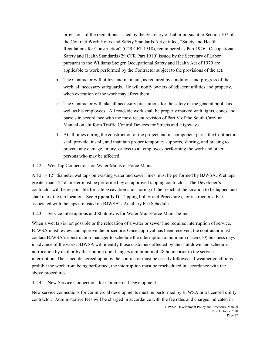provisions of the regulations issued by the Secretary of Labor pursuant to Section 107 of the Contract Work Hours and Safety Standards Act entitled, "Safety and Health Regulations for Construction" (C29 CFT 1518), renumbered as Part 1926. Occupational Safety and Health Standards (29 CFR Part 1910) issued by the Secretary of Labor pursuant to the Williams Steigen Occupational Safety and Health Act of 1970 are applicable to work performed by the Contractor subject to the provisions of the act.

- b. The Contractor will utilize and maintain, as required by conditions and progress of the work, all necessary safeguards. He will notify owners of adjacent utilities and property, when execution of the work may affect them.
- c. The Contractor will take all necessary precautions for the safety of the general public as well as his employees. All roadside work shall be properly marked with lights, cones and barrels in accordance with the most recent revision of Part V of the South Carolina Manual on Uniform Traffic Control Devices for Streets and Highways.
- d. At all times during the construction of the project and its component parts, the Contractor shall provide, install, and maintain proper temporary supports, shoring, and bracing to prevent any damage, injury, or loss to all employees performing the work and other persons who may be affected.

#### 3.2.2 Wet Tap Connections on Water Mains or Force Mains

All  $2" - 12"$  diameter wet taps on existing water and sewer lines must be performed by BJWSA. Wet taps greater than 12" diameter must be performed by an approved tapping contractor. The Developer's contractor will be responsible for safe excavation and shoring of the trench at the location to be tapped and shall mark the tap location. See **Appendix D**, Tapping Policy and Procedures, for instructions. Fees associated with the taps are listed on BJWSA's Ancillary Fee Schedule.

#### 3.2.3 Service Interruptions and Shutdowns for Water Main/Force Main Tie-ins

When a wet tap is not possible or the relocation of a water or sewer line requires interruption of service, BJWSA must review and approve the procedure. Once approval has been received, the contractor must contact BJWSA's construction manager to schedule the interruption a minimum of ten (10) business days in advance of the work. BJWSA will identify those customers affected by the shut down and schedule notification by mail or by distributing door hangers a minimum of 48 hours prior to the service interruption. The schedule agreed upon by the contractor must be strictly followed. If weather conditions prohibit the work from being performed, the interruption must be rescheduled in accordance with the above procedures.

#### 3.2.4 New Service Connections for Commercial Development

New service connections for commercial developments must be performed by BJWSA or a licensed utility contractor. Administrative fees will be charged in accordance with the fee rates and charges indicated in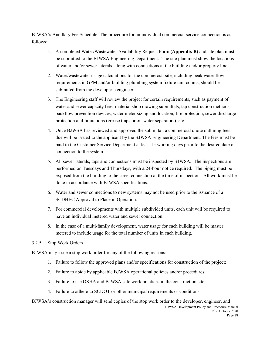BJWSA's Ancillary Fee Schedule. The procedure for an individual commercial service connection is as follows:

- 1. A completed Water/Wastewater Availability Request Form **(Appendix B)** and site plan must be submitted to the BJWSA Engineering Department. The site plan must show the locations of water and/or sewer laterals, along with connections at the building and/or property line.
- 2. Water/wastewater usage calculations for the commercial site, including peak water flow requirements in GPM and/or building plumbing system fixture unit counts, should be submitted from the developer's engineer.
- 3. The Engineering staff will review the project for certain requirements, such as payment of water and sewer capacity fees, material shop drawing submittals, tap construction methods, backflow prevention devices, water meter sizing and location, fire protection, sewer discharge protection and limitations (grease traps or oil-water separators), etc.
- 4. Once BJWSA has reviewed and approved the submittal, a commercial quote outlining fees due will be issued to the applicant by the BJWSA Engineering Department. The fees must be paid to the Customer Service Department at least 15 working days prior to the desired date of connection to the system.
- 5. All sewer laterals, taps and connections must be inspected by BJWSA. The inspections are performed on Tuesdays and Thursdays, with a 24-hour notice required. The piping must be exposed from the building to the street connection at the time of inspection. All work must be done in accordance with BJWSA specifications.
- 6. Water and sewer connections to new systems may not be used prior to the issuance of a SCDHEC Approval to Place in Operation.
- 7. For commercial developments with multiple subdivided units, each unit will be required to have an individual metered water and sewer connection.
- 8. In the case of a multi-family development, water usage for each building will be master metered to include usage for the total number of units in each building.

#### 3.2.5 Stop Work Orders

BJWSA may issue a stop work order for any of the following reasons:

- 1. Failure to follow the approved plans and/or specifications for construction of the project;
- 2. Failure to abide by applicable BJWSA operational policies and/or procedures;
- 3. Failure to use OSHA and BJWSA safe work practices in the construction site;
- 4. Failure to adhere to SCDOT or other municipal requirements or conditions.

BJWSA Development Policy and Procedure Manual BJWSA's construction manager will send copies of the stop work order to the developer, engineer, and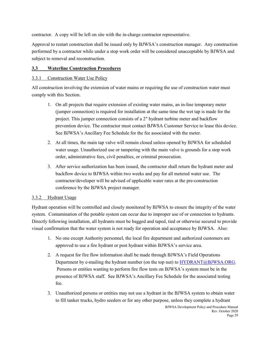contractor. A copy will be left on site with the in-charge contractor representative.

Approval to restart construction shall be issued only by BJWSA's construction manager. Any construction performed by a contractor while under a stop work order will be considered unacceptable by BJWSA and subject to removal and reconstruction.

#### **3.3 Waterline Construction Procedures**

#### 3.3.1 Construction Water Use Policy

All construction involving the extension of water mains or requiring the use of construction water must comply with this Section.

- 1. On all projects that require extension of existing water mains, an in-line temporary meter (jumper connection) is required for installation at the same time the wet tap is made for the project. This jumper connection consists of a 2" hydrant turbine meter and backflow prevention device. The contractor must contact BJWSA Customer Service to lease this device. See BJWSA's Ancillary Fee Schedule for the fee associated with the meter.
- 2. At all times, the main tap valve will remain closed unless opened by BJWSA for scheduled water usage. Unauthorized use or tampering with the main valve is grounds for a stop work order, administrative fees, civil penalties, or criminal prosecution.
- 3. After service authorization has been issued, the contractor shall return the hydrant meter and backflow device to BJWSA within two weeks and pay for all metered water use. The contractor/developer will be advised of applicable water rates at the pre-construction conference by the BJWSA project manager.

#### 3.3.2 Hydrant Usage

Hydrant operation will be controlled and closely monitored by BJWSA to ensure the integrity of the water system. Contamination of the potable system can occur due to improper use of or connection to hydrants. Directly following installation, all hydrants must be bagged and taped, tied or otherwise secured to provide visual confirmation that the water system is not ready for operation and acceptance by BJWSA. Also:

- 1. No one except Authority personnel, the local fire department and authorized customers are approved to use a fire hydrant or post hydrant within BJWSA's service area.
- 2. A request for fire flow information shall be made through BJWSA's Field Operations Department by e-mailing the hydrant number (on the top nut) to [HYDRANT@BJWSA.ORG.](mailto:HYDRANT@BJWSA.ORG) Persons or entities wanting to perform fire flow tests on BJWSA's system must be in the presence of BJWSA staff. See BJWSA's Ancillary Fee Schedule for the associated testing fee.
- 3. Unauthorized persons or entities may not use a hydrant in the BJWSA system to obtain water to fill tanker trucks, hydro seeders or for any other purpose, unless they complete a hydrant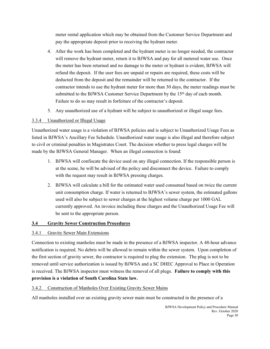meter rental application which may be obtained from the Customer Service Department and pay the appropriate deposit prior to receiving the hydrant meter.

- 4. After the work has been completed and the hydrant meter is no longer needed, the contractor will remove the hydrant meter, return it to BJWSA and pay for all metered water use. Once the meter has been returned and no damage to the meter or hydrant is evident, BJWSA will refund the deposit. If the user fees are unpaid or repairs are required, these costs will be deducted from the deposit and the remainder will be returned to the contractor. If the contractor intends to use the hydrant meter for more than 30 days, the meter readings must be submitted to the BJWSA Customer Service Department by the 15<sup>th</sup> day of each month. Failure to do so may result in forfeiture of the contractor's deposit.
- 5. Any unauthorized use of a hydrant will be subject to unauthorized or illegal usage fees.

#### 3.3.4 Unauthorized or Illegal Usage

Unauthorized water usage is a violation of BJWSA policies and is subject to Unauthorized Usage Fees as listed in BJWSA's Ancillary Fee Schedule. Unauthorized water usage is also illegal and therefore subject to civil or criminal penalties in Magistrates Court. The decision whether to press legal charges will be made by the BJWSA General Manager. When an illegal connection is found:

- 1. BJWSA will confiscate the device used on any illegal connection. If the responsible person is at the scene, he will be advised of the policy and disconnect the device. Failure to comply with the request may result in BJWSA pressing charges.
- 2. BJWSA will calculate a bill for the estimated water used consumed based on twice the current unit consumption charge. If water is returned to BJWSA's sewer system, the estimated gallons used will also be subject to sewer charges at the highest volume charge per 1000 GAL currently approved. An invoice including these charges and the Unauthorized Usage Fee will be sent to the appropriate person.

#### **3.4 Gravity Sewer Construction Procedures**

#### 3.4.1 Gravity Sewer Main Extensions

Connection to existing manholes must be made in the presence of a BJWSA inspector. A 48-hour advance notification is required. No debris will be allowed to remain within the sewer system. Upon completion of the first section of gravity sewer, the contractor is required to plug the extension. The plug is not to be removed until service authorization is issued by BJWSA and a SC DHEC Approval to Place in Operation is received. The BJWSA inspector must witness the removal of all plugs. **Failure to comply with this provision is a violation of South Carolina State law.**

#### 3.4.2 Construction of Manholes Over Existing Gravity Sewer Mains

All manholes installed over an existing gravity sewer main must be constructed in the presence of a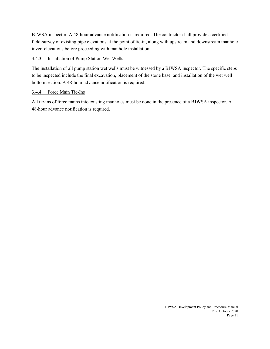BJWSA inspector. A 48-hour advance notification is required. The contractor shall provide a certified field-survey of existing pipe elevations at the point of tie-in, along with upstream and downstream manhole invert elevations before proceeding with manhole installation.

#### 3.4.3 Installation of Pump Station Wet Wells

The installation of all pump station wet wells must be witnessed by a BJWSA inspector. The specific steps to be inspected include the final excavation, placement of the stone base, and installation of the wet well bottom section. A 48-hour advance notification is required.

#### 3.4.4 Force Main Tie-Ins

All tie-ins of force mains into existing manholes must be done in the presence of a BJWSA inspector. A 48-hour advance notification is required.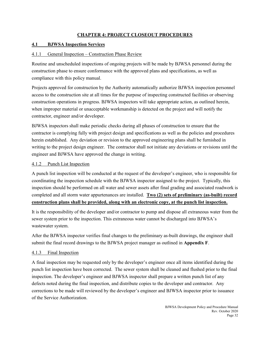#### **CHAPTER 4: PROJECT CLOSEOUT PROCEDURES**

#### **4.1 BJWSA Inspection Services**

#### 4.1.1 General Inspection – Construction Phase Review

Routine and unscheduled inspections of ongoing projects will be made by BJWSA personnel during the construction phase to ensure conformance with the approved plans and specifications, as well as compliance with this policy manual.

Projects approved for construction by the Authority automatically authorize BJWSA inspection personnel access to the construction site at all times for the purpose of inspecting constructed facilities or observing construction operations in progress. BJWSA inspectors will take appropriate action, as outlined herein, when improper material or unacceptable workmanship is detected on the project and will notify the contractor, engineer and/or developer.

BJWSA inspectors shall make periodic checks during all phases of construction to ensure that the contractor is complying fully with project design and specifications as well as the policies and procedures herein established. Any deviation or revision to the approved engineering plans shall be furnished in writing to the project design engineer. The contractor shall not initiate any deviations or revisions until the engineer and BJWSA have approved the change in writing.

#### 4.1.2 Punch List Inspection

A punch list inspection will be conducted at the request of the developer's engineer, who is responsible for coordinating the inspection schedule with the BJWSA inspector assigned to the project. Typically, this inspection should be performed on all water and sewer assets after final grading and associated roadwork is completed and all storm water appurtenances are installed. **Two (2) sets of preliminary (as-built) record construction plans shall be provided, along with an electronic copy, at the punch list inspection.** 

It is the responsibility of the developer and/or contractor to pump and dispose all extraneous water from the sewer system prior to the inspection. This extraneous water cannot be discharged into BJWSA's wastewater system.

After the BJWSA inspector verifies final changes to the preliminary as-built drawings, the engineer shall submit the final record drawings to the BJWSA project manager as outlined in **Appendix F**.

#### 4.1.3 Final Inspection

A final inspection may be requested only by the developer's engineer once all items identified during the punch list inspection have been corrected. The sewer system shall be cleaned and flushed prior to the final inspection. The developer's engineer and BJWSA inspector shall prepare a written punch list of any defects noted during the final inspection, and distribute copies to the developer and contractor. Any corrections to be made will reviewed by the developer's engineer and BJWSA inspector prior to issuance of the Service Authorization.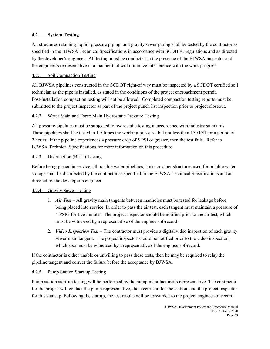#### **4.2 System Testing**

All structures retaining liquid, pressure piping, and gravity sewer piping shall be tested by the contractor as specified in the BJWSA Technical Specifications in accordance with SCDHEC regulations and as directed by the developer's engineer. All testing must be conducted in the presence of the BJWSA inspector and the engineer's representative in a manner that will minimize interference with the work progress.

#### 4.2.1 Soil Compaction Testing

All BJWSA pipelines constructed in the SCDOT right-of way must be inspected by a SCDOT certified soil technician as the pipe is installed, as stated in the conditions of the project encroachment permit. Post-installation compaction testing will not be allowed. Completed compaction testing reports must be submitted to the project inspector as part of the project punch list inspection prior to project closeout.

#### 4.2.2 Water Main and Force Main Hydrostatic Pressure Testing

All pressure pipelines must be subjected to hydrostatic testing in accordance with industry standards. These pipelines shall be tested to 1.5 times the working pressure, but not less than 150 PSI for a period of 2 hours. If the pipeline experiences a pressure drop of 5 PSI or greater, then the test fails. Refer to BJWSA Technical Specifications for more information on this procedure.

#### 4.2.3 Disinfection (BacT) Testing

Before being placed in service, all potable water pipelines, tanks or other structures used for potable water storage shall be disinfected by the contractor as specified in the BJWSA Technical Specifications and as directed by the developer's engineer.

#### 4.2.4 Gravity Sewer Testing

- 1. *Air Test* All gravity main tangents between manholes must be tested for leakage before being placed into service. In order to pass the air test, each tangent must maintain a pressure of 4 PSIG for five minutes. The project inspector should be notified prior to the air test, which must be witnessed by a representative of the engineer-of-record.
- 2. *Video Inspection Test* The contractor must provide a digital video inspection of each gravity sewer main tangent. The project inspector should be notified prior to the video inspection, which also must be witnessed by a representative of the engineer-of-record.

If the contractor is either unable or unwilling to pass these tests, then he may be required to relay the pipeline tangent and correct the failure before the acceptance by BJWSA.

#### 4.2.5 Pump Station Start-up Testing

Pump station start-up testing will be performed by the pump manufacturer's representative. The contractor for the project will contact the pump representative, the electrician for the station, and the project inspector for this start-up. Following the startup, the test results will be forwarded to the project engineer-of-record.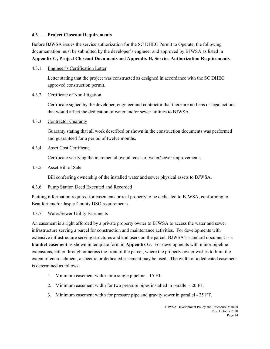#### **4.3 Project Closeout Requirements**

Before BJWSA issues the service authorization for the SC DHEC Permit to Operate, the following documentation must be submitted by the developer's engineer and approved by BJWSA as listed in **Appendix G, Project Closeout Documents** and **Appendix H, Service Authorization Requirements**.

4.3.1. Engineer's Certification Letter

Letter stating that the project was constructed as designed in accordance with the SC DHEC approved construction permit.

#### 4.3.2. Certificate of Non-litigation

Certificate signed by the developer, engineer and contractor that there are no liens or legal actions that would affect the dedication of water and/or sewer utilities to BJWSA.

#### 4.3.3. Contractor Guaranty

Guaranty stating that all work described or shown in the construction documents was performed and guaranteed for a period of twelve months.

#### 4.3.4. Asset Cost Certificate

Certificate verifying the incremental overall costs of water/sewer improvements.

#### 4.3.5. Asset Bill of Sale

Bill conferring ownership of the installed water and sewer physical assets to BJWSA.

#### 4.3.6. Pump Station Deed Executed and Recorded

Platting information required for easements or real property to be dedicated to BJWSA, conforming to Beaufort and/or Jasper County DSO requirements.

#### 4.3.7. Water/Sewer Utility Easements

An easement is a right afforded by a private property owner to BJWSA to access the water and sewer infrastructure serving a parcel for construction and maintenance activities. For developments with extensive infrastructure serving structures and end users on the parcel, BJWSA's standard document is a **blanket easement** as shown in template form in **Appendix G**. For developments with minor pipeline extensions, either through or across the front of the parcel, where the property owner wishes to limit the extent of encroachment, a specific or dedicated easement may be used. The width of a dedicated easement is determined as follows:

- 1. Minimum easement width for a single pipeline 15 FT.
- 2. Minimum easement width for two pressure pipes installed in parallel 20 FT.
- 3. Minimum easement width for pressure pipe and gravity sewer in parallel 25 FT.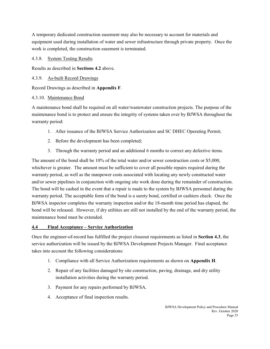A temporary dedicated construction easement may also be necessary to account for materials and equipment used during installation of water and sewer infrastructure through private property. Once the work is completed, the construction easement is terminated.

#### 4.3.8. System Testing Results

Results as described in **Sections 4.2** above.

#### 4.3.9. As-built Record Drawings

Record Drawings as described in **Appendix F**.

#### 4.3.10. Maintenance Bond

A maintenance bond shall be required on all water/wastewater construction projects. The purpose of the maintenance bond is to protect and ensure the integrity of systems taken over by BJWSA throughout the warranty period:

- 1. After issuance of the BJWSA Service Authorization and SC DHEC Operating Permit;
- 2. Before the development has been completed;
- 3. Through the warranty period and an additional 6 months to correct any defective items.

The amount of the bond shall be 10% of the total water and/or sewer construction costs or \$5,000, whichever is greater. The amount must be sufficient to cover all possible repairs required during the warranty period, as well as the manpower costs associated with locating any newly constructed water and/or sewer pipelines in conjunction with ongoing site work done during the remainder of construction. The bond will be cashed in the event that a repair is made to the system by BJWSA personnel during the warranty period. The acceptable form of the bond is a surety bond, certified or cashiers check. Once the BJWSA inspector completes the warranty inspection and/or the 18-month time period has elapsed, the bond will be released. However, if dry utilities are still not installed by the end of the warranty period, the maintenance bond must be extended.

#### **4.4 Final Acceptance – Service Authorization**

Once the engineer-of-record has fulfilled the project closeout requirements as listed in **Section 4.3**, the service authorization will be issued by the BJWSA Development Projects Manager. Final acceptance takes into account the following considerations:

- 1. Compliance with all Service Authorization requirements as shown on **Appendix H**.
- 2. Repair of any facilities damaged by site construction, paving, drainage, and dry utility installation activities during the warranty period.
- 3. Payment for any repairs performed by BJWSA.
- 4. Acceptance of final inspection results.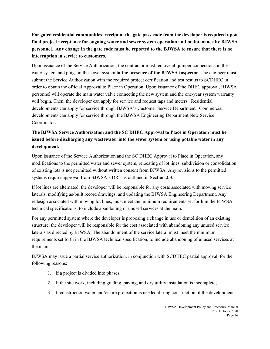**For gated residential communities, receipt of the gate pass code from the developer is required upon final project acceptance for ongoing water and sewer system operation and maintenance by BJWSA personnel. Any change in the gate code must be reported to the BJWSA to ensure that there is no interruption in service to customers.**

Upon issuance of the Service Authorization, the contractor must remove all jumper connections in the water system and plugs in the sewer system **in the presence of the BJWSA inspector**. The engineer must submit the Service Authorization with the required project certification and test results to SCDHEC in order to obtain the official Approval to Place in Operation. Upon issuance of the DHEC approval, BJWSA personnel will operate the main water valve connecting the new system and the one-year system warranty will begin. Then, the developer can apply for service and request taps and meters. Residential developments can apply for service through BJWSA's Customer Service Department. Commercial developments can apply for service through the BJWSA Engineering Department New Service Coordinator.

#### **The BJWSA Service Authorization and the SC DHEC Approval to Place in Operation must be issued before discharging any wastewater into the sewer system or using potable water in any development.**

Upon issuance of the Service Authorization and the SC DHEC Approval to Place in Operation, any modifications to the permitted water and sewer system, relocating of lot lines, subdivision or consolidation of existing lots is not permitted without written consent from BJWSA. Any revisions to the permitted systems require approval from BJWSA's DRT as outlined in **Section 2.3**.

If lot lines are alternated, the developer will be responsible for any costs associated with moving service laterals, modifying as-built record drawings, and updating the BJWSA Engineering Department. Any redesign associated with moving lot lines, must meet the minimum requirements set forth in the BJWSA technical specifications, to include abandoning of unused services at the main.

For any permitted system where the developer is proposing a change in use or demolition of an existing structure, the developer will be responsible for the cost associated with abandoning any unused service laterals as directed by BJWSA. The abandonment of the service lateral must meet the minimum requirements set forth in the BJWSA technical specification, to include abandoning of unused services at the main.

BJWSA may issue a partial service authorization, in conjunction with SCDHEC partial approval, for the following reasons:

- 1. If a project is divided into phases;
- 2. If the site work, including grading, paving, and dry utility installation is incomplete;
- 3. If construction water and/or fire protection is needed during construction of the development.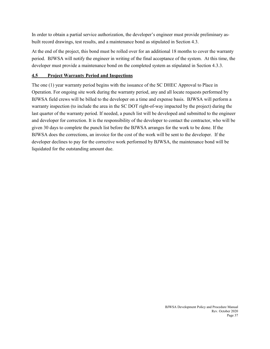In order to obtain a partial service authorization, the developer's engineer must provide preliminary asbuilt record drawings, test results, and a maintenance bond as stipulated in Section 4.3.

At the end of the project, this bond must be rolled over for an additional 18 months to cover the warranty period. BJWSA will notify the engineer in writing of the final acceptance of the system. At this time, the developer must provide a maintenance bond on the completed system as stipulated in Section 4.3.3.

#### **4.5 Project Warranty Period and Inspections**

The one (1) year warranty period begins with the issuance of the SC DHEC Approval to Place in Operation. For ongoing site work during the warranty period, any and all locate requests performed by BJWSA field crews will be billed to the developer on a time and expense basis. BJWSA will perform a warranty inspection (to include the area in the SC DOT right-of-way impacted by the project) during the last quarter of the warranty period. If needed, a punch list will be developed and submitted to the engineer and developer for correction. It is the responsibility of the developer to contact the contractor, who will be given 30 days to complete the punch list before the BJWSA arranges for the work to be done. If the BJWSA does the corrections, an invoice for the cost of the work will be sent to the developer. If the developer declines to pay for the corrective work performed by BJWSA, the maintenance bond will be liquidated for the outstanding amount due.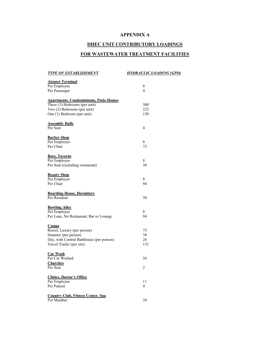#### **APPENDIX A**

#### **DHEC UNIT CONTRIBUTORY LOADINGS**

### **FOR WASTEWATER TREATMENT FACILITIES**

| <b>TYPE OF ESTABLISHMENT</b>                 | <u>HYDRAULIC LOADING (GPD)</u> |
|----------------------------------------------|--------------------------------|
| <b>Airport Terminal</b>                      |                                |
| Per Employee                                 | 8                              |
| Per Passenger                                | 4                              |
|                                              |                                |
| <b>Apartments, Condominiums, Patio Homes</b> |                                |
| Three (3) Bedrooms (per unit)                | 300                            |
| Two (2) Bedrooms (per unit)                  | 225                            |
| One (1) Bedroom (per unit)                   | 150                            |
|                                              |                                |
| <b>Assembly Halls</b>                        |                                |
| Per Seat                                     | 4                              |
| <b>Barber Shop</b>                           |                                |
| Per Employee                                 | 8                              |
| Per Chair                                    | 75                             |
|                                              |                                |
| <b>Bars, Taverns</b>                         |                                |
| Per Employee                                 | 8                              |
| Per Seat (excluding restaurant)              | 30                             |
| <b>Beauty Shop</b>                           |                                |
| Per Employee                                 | 8                              |
| Per Chair                                    | 94                             |
|                                              |                                |
| <b>Boarding House, Dormitory</b>             |                                |
| Per Resident                                 | 38                             |
|                                              |                                |
| <b>Bowling Alley</b>                         |                                |
| Per Employee                                 | 8                              |
| Per Lane, No Restaurant, Bar or Lounge       | 94                             |
| <b>Camps</b>                                 |                                |
| Resort, Luxury (per person)                  | 75                             |
| Summer (per person)                          | 38                             |
| Day, with Central Bathhouse (per person)     | 26                             |
| Travel Trailer (per site)                    | 131                            |
|                                              |                                |
| <b>Car Wash</b>                              |                                |
| Per Car Washed                               | 56                             |
| Churches                                     |                                |
| Per Seat                                     | $\overline{c}$                 |
| <b>Clinics, Doctor's Office</b>              |                                |
| Per Employee                                 | 11                             |
| Per Patient                                  | 4                              |
|                                              |                                |
| <b>Country Club, Fitness Center, Spa</b>     |                                |
| Per Member                                   | 38                             |
|                                              |                                |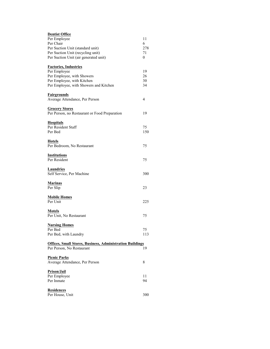| <b>Dentist Office</b>                                            |     |
|------------------------------------------------------------------|-----|
| Per Employee                                                     | 11  |
| Per Chair                                                        | 6   |
| Per Suction Unit (standard unit)                                 | 278 |
| Per Suction Unit (recycling unit)                                | 71  |
| Per Suction Unit (air generated unit)                            | 0   |
| <b>Factories, Industries</b>                                     |     |
| Per Employee                                                     | 19  |
| Per Employee, with Showers                                       | 26  |
| Per Employee, with Kitchen                                       | 30  |
| Per Employee, with Showers and Kitchen                           | 34  |
| <b>Fairgrounds</b>                                               |     |
| Average Attendance, Per Person                                   | 4   |
| <b>Grocery Stores</b>                                            |     |
| Per Person, no Restaurant or Food Preparation                    | 19  |
| <b>Hospitals</b>                                                 |     |
| Per Resident Staff                                               | 75  |
| Per Bed                                                          | 150 |
| <u>Hotels</u>                                                    |     |
| Per Bedroom, No Restaurant                                       | 75  |
| <b>Institutions</b>                                              |     |
| Per Resident                                                     | 75  |
| <b>Laundries</b><br>Self Service, Per Machine                    | 300 |
|                                                                  |     |
| <b>Marinas</b>                                                   |     |
| Per Slip                                                         | 23  |
| <b>Mobile Homes</b>                                              |     |
| Per Unit                                                         | 225 |
| <b>Motels</b>                                                    |     |
| Per Unit, No Restaurant                                          | 75  |
| <b>Nursing Homes</b>                                             |     |
| Per Bed                                                          | 75  |
| Per Bed, with Laundry                                            | 113 |
| <b>Offices, Small Stores, Business, Administration Buildings</b> |     |
| Per Person, No Restaurant                                        | 19  |
| <b>Picnic Parks</b>                                              |     |
| Average Attendance, Per Person                                   | 8   |
| Prison/Jail                                                      |     |
| Per Employee                                                     | 11  |
| Per Inmate                                                       | 94  |
| <b>Residences</b>                                                |     |
| Per House, Unit                                                  | 300 |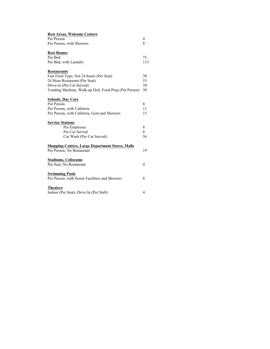| <b>Rest Areas, Welcome Centers</b>                      |     |
|---------------------------------------------------------|-----|
| Per Person                                              | 4   |
| Per Person, with Showers                                | 8   |
| <b>Rest Homes</b>                                       |     |
| Per Bed                                                 | 75  |
| Per Bed, with Laundry                                   | 113 |
| <b>Restaurants</b>                                      |     |
| Fast Food Type, Not 24 hours (Per Seat)                 | 30  |
| 24 Hour Restaurant (Per Seat)                           | 53  |
| Drive-in (Per Car Served)                               | 30  |
| Vending Machine, Walk-up Deli, Food Prep (Per Person)   | 30  |
| <b>Schools, Day Care</b>                                |     |
| Per Person                                              | 8   |
| Per Person, with Cafeteria                              | 11  |
| Per Person, with Cafeteria, Gym and Showers             | 15  |
| <b>Service Stations</b>                                 |     |
| Per Employee                                            | 8   |
| Per Car Served                                          | 8   |
| Car Wash (Per Car Served)                               | 56  |
| <b>Shopping Centers, Large Department Stores, Malls</b> |     |
| Per Person, No Restaurant                               | 19  |
| <b>Stadiums, Coliseums</b>                              |     |
| Per Seat, No Restaurant                                 | 4   |
| <b>Swimming Pools</b>                                   |     |
| Per Person, with Sewer Facilities and Showers           | 8   |
| Theaters:                                               |     |
| Indoor (Per Seat), Drive In (Per Stall)                 | 4   |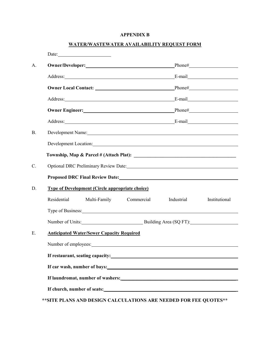#### **APPENDIX B**

#### **WATER/WASTEWATER AVAILABILITY REQUEST FORM**

|           | Date: <u>Date:</u>                                                                                                                                                                                                               |            |            |               |
|-----------|----------------------------------------------------------------------------------------------------------------------------------------------------------------------------------------------------------------------------------|------------|------------|---------------|
| A.        |                                                                                                                                                                                                                                  |            |            |               |
|           |                                                                                                                                                                                                                                  |            |            |               |
|           |                                                                                                                                                                                                                                  |            |            |               |
|           | Address: E-mail E-mail                                                                                                                                                                                                           |            |            |               |
|           | Owner Engineer: Phone# Phone# Phone# Phone# Phone# Phone# Phone# Phone# Phone# Phone# Phone# Phone Phone Phone Phone Phone Phone Phone Phone Phone Phone Phone Phone Phone Phone Phone Phone Phone Phone Phone Phone Phone Pho   |            |            |               |
|           | Address: E-mail E-mail E-mail E-mail E-mail E-mail E-mail E-mail E-mail E-mail E-mail E-mail E-mail E-mail E-mail E-mail E-mail E-mail E-mail E-mail E-mail E-mail E-mail E-mail E-mail E-mail E-mail E-mail E-mail E-mail E-m   |            |            |               |
| <b>B.</b> | Development Name: Name: Name and Allen Name and Allen Name and Allen Name and Allen Name and Allen Name and Al                                                                                                                   |            |            |               |
|           | Development Location: New York Contact 2018                                                                                                                                                                                      |            |            |               |
|           |                                                                                                                                                                                                                                  |            |            |               |
| C.        |                                                                                                                                                                                                                                  |            |            |               |
|           | Proposed DRC Final Review Date:<br>and the contract of the contract of the contract of the contract of the contract of the contract of the contract of the contract of the contract of the contract of the contract of the contr |            |            |               |
| D.        | <b>Type of Development (Circle appropriate choice)</b>                                                                                                                                                                           |            |            |               |
|           | Residential<br>Multi-Family                                                                                                                                                                                                      | Commercial | Industrial | Institutional |
|           | Type of Business: 1999 and 2009 and 2009 and 2009 and 2009 and 2009 and 2009 and 2009 and 2009 and 2009 and 20                                                                                                                   |            |            |               |
|           | Number of Units: Building Area (SQ FT):                                                                                                                                                                                          |            |            |               |
| E.        | <b>Anticipated Water/Sewer Capacity Required</b>                                                                                                                                                                                 |            |            |               |
|           | Number of employees: example and the state of employees and the state of employees and the state of employees.                                                                                                                   |            |            |               |
|           |                                                                                                                                                                                                                                  |            |            |               |
|           |                                                                                                                                                                                                                                  |            |            |               |
|           |                                                                                                                                                                                                                                  |            |            |               |
|           |                                                                                                                                                                                                                                  |            |            |               |
|           | ** SITE PLANS AND DESIGN CALCULATIONS ARE NEEDED FOR FEE QUOTES**                                                                                                                                                                |            |            |               |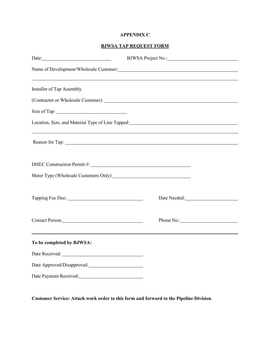#### **APPENDIX C**

#### **BJWSA TAP REQUEST FORM**

| Date: 2008. Contract of the Contract of the Contract of the Contract of the Contract of the Contract of the Contract of the Contract of the Contract of the Contract of the Contract of the Contract of the Contract of the Co |                                                                                                                                                                                                                                |  |
|--------------------------------------------------------------------------------------------------------------------------------------------------------------------------------------------------------------------------------|--------------------------------------------------------------------------------------------------------------------------------------------------------------------------------------------------------------------------------|--|
|                                                                                                                                                                                                                                |                                                                                                                                                                                                                                |  |
| Installer of Tap Assembly                                                                                                                                                                                                      |                                                                                                                                                                                                                                |  |
|                                                                                                                                                                                                                                | (Contractor or Wholesale Customer): 2008 2009 2010 2021 2022 2023 2024 2022 2023 2024 2022 2023 2024 2022 2023 2024 2022 2023 2024 2022 2023 2024 2022 2023 2024 2022 2023 2024 2022 2023 2024 2022 2023 2024 2022 2023 2024 2 |  |
|                                                                                                                                                                                                                                |                                                                                                                                                                                                                                |  |
|                                                                                                                                                                                                                                |                                                                                                                                                                                                                                |  |
|                                                                                                                                                                                                                                | ,我们也不会有什么。""我们的人,我们也不会有什么?""我们的人,我们也不会有什么?""我们的人,我们也不会有什么?""我们的人,我们也不会有什么?""我们的人                                                                                                                                               |  |
|                                                                                                                                                                                                                                |                                                                                                                                                                                                                                |  |
|                                                                                                                                                                                                                                |                                                                                                                                                                                                                                |  |
|                                                                                                                                                                                                                                | Date Needed: New York Changes and Section 1989                                                                                                                                                                                 |  |
| Contact Person:                                                                                                                                                                                                                |                                                                                                                                                                                                                                |  |
| and the control of the control of the control of the control of the control of the control of the control of the<br>To be completed by BJWSA:                                                                                  |                                                                                                                                                                                                                                |  |
| Date Received: __                                                                                                                                                                                                              |                                                                                                                                                                                                                                |  |
|                                                                                                                                                                                                                                |                                                                                                                                                                                                                                |  |
| Date Payment Received:                                                                                                                                                                                                         |                                                                                                                                                                                                                                |  |

**Customer Service: Attach work order to this form and forward to the Pipeline Division**.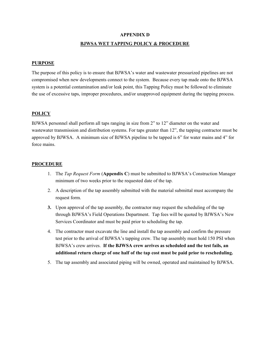#### **APPENDIX D**

#### **BJWSA WET TAPPING POLICY & PROCEDURE**

#### **PURPOSE**

The purpose of this policy is to ensure that BJWSA's water and wastewater pressurized pipelines are not compromised when new developments connect to the system. Because every tap made onto the BJWSA system is a potential contamination and/or leak point, this Tapping Policy must be followed to eliminate the use of excessive taps, improper procedures, and/or unapproved equipment during the tapping process.

#### **POLICY**

BJWSA personnel shall perform all taps ranging in size from 2" to 12" diameter on the water and wastewater transmission and distribution systems. For taps greater than 12", the tapping contractor must be approved by BJWSA. A minimum size of BJWSA pipeline to be tapped is 6" for water mains and 4" for force mains.

#### **PROCEDURE**

- 1. The *Tap Request Form* (**Appendix C**) must be submitted to BJWSA's Construction Manager minimum of two weeks prior to the requested date of the tap.
- 2. A description of the tap assembly submitted with the material submittal must accompany the request form.
- **3.** Upon approval of the tap assembly, the contractor may request the scheduling of the tap through BJWSA's Field Operations Department. Tap fees will be quoted by BJWSA's New Services Coordinator and must be paid prior to scheduling the tap.
- 4. The contractor must excavate the line and install the tap assembly and confirm the pressure test prior to the arrival of BJWSA's tapping crew. The tap assembly must hold 150 PSI when BJWSA's crew arrives. **If the BJWSA crew arrives as scheduled and the test fails, an additional return charge of one half of the tap cost must be paid prior to rescheduling.**
- 5. The tap assembly and associated piping will be owned, operated and maintained by BJWSA.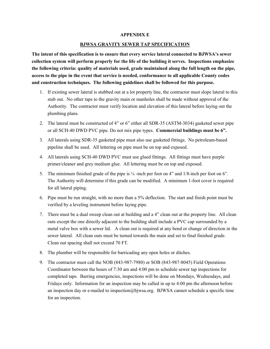#### **APPENDIX E**

#### **BJWSA GRAVITY SEWER TAP SPECIFICATION**

**The intent of this specification is to ensure that every service lateral connected to BJWSA's sewer collection system will perform properly for the life of the building it serves. Inspections emphasize the following criteria: quality of materials used, grade maintained along the full length on the pipe, access to the pipe in the event that service is needed, conformance to all applicable County codes and construction techniques. The following guidelines shall be followed for this purpose.**

- 1. If existing sewer lateral is stubbed out at a lot property line, the contractor must slope lateral to this stub out. No other taps to the gravity main or manholes shall be made without approval of the Authority. The contractor must verify location and elevation of this lateral before laying out the plumbing plans.
- 2. The lateral must be constructed of 4" or 6" either all SDR-35 (ASTM-3034) gasketed sewer pipe or all SCH-40 DWD PVC pipe. Do not mix pipe types. **Commercial buildings must be 6".**
- 3. All laterals using SDR-35 gasketed pipe must also use gasketed fittings. No petroleum-based pipeline shall be used. All lettering on pipe must be on top and exposed.
- 4. All laterals using SCH-40 DWD PVC must use glued fittings. All fittings must have purple primer/cleaner and grey medium glue. All lettering must be on top and exposed.
- 5. The minimum finished grade of the pipe is  $\frac{1}{4}$ -inch per foot on 4" and  $\frac{1}{8}$ -inch per foot on 6". The Authority will determine if this grade can be modified. A minimum 1-foot cover is required for all lateral piping.
- 6. Pipe must be run straight, with no more than a 5% deflection. The start and finish point must be verified by a leveling instrument before laying pipe.
- 7. There must be a dual sweep clean out at building and a 4" clean out at the property line. All clean outs except the one directly adjacent to the building shall include a PVC cap surrounded by a metal valve box with a sewer lid. A clean out is required at any bend or change of direction in the sewer lateral. All clean outs must be turned towards the main and set to final finished grade. Clean out spacing shall not exceed 70 FT.
- 8. The plumber will be responsible for barricading any open holes or ditches.
- 9. The contractor must call the NOB (843-987-7980) or SOB (843-987-8045) Field Operations Coordinator between the hours of 7:30 am and 4:00 pm to schedule sewer tap inspections for completed taps. Barring emergencies, inspections will be done on Mondays, Wednesdays, and Fridays only. Information for an inspection may be called in up to 4:00 pm the afternoon before an inspection day or e-mailed to inspection@bjwsa.org. BJWSA cannot schedule a specific time for an inspection.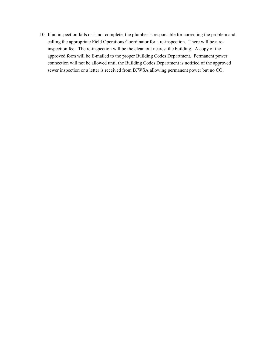10. If an inspection fails or is not complete, the plumber is responsible for correcting the problem and calling the appropriate Field Operations Coordinator for a re-inspection. There will be a reinspection fee. The re-inspection will be the clean out nearest the building. A copy of the approved form will be E-mailed to the proper Building Codes Department. Permanent power connection will not be allowed until the Building Codes Department is notified of the approved sewer inspection or a letter is received from BJWSA allowing permanent power but no CO.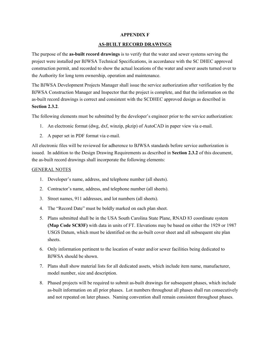#### **APPENDIX F**

#### **AS-BUILT RECORD DRAWINGS**

The purpose of the **as-built record drawings** is to verify that the water and sewer systems serving the project were installed per BJWSA Technical Specifications, in accordance with the SC DHEC approved construction permit, and recorded to show the actual locations of the water and sewer assets turned over to the Authority for long term ownership, operation and maintenance.

The BJWSA Development Projects Manager shall issue the service authorization after verification by the BJWSA Construction Manager and Inspector that the project is complete, and that the information on the as-built record drawings is correct and consistent with the SCDHEC approved design as described in **Section 2.3.2**.

The following elements must be submitted by the developer's engineer prior to the service authorization:

- 1. An electronic format (dwg, dxf, winzip, pkzip) of AutoCAD in paper view via e-mail.
- 2. A paper set in PDF format via e-mail.

All electronic files will be reviewed for adherence to BJWSA standards before service authorization is issued. In addition to the Design Drawing Requirements as described in **Section 2.3.2** of this document, the as-built record drawings shall incorporate the following elements:

#### GENERAL NOTES

- 1. Developer's name, address, and telephone number (all sheets).
- 2. Contractor's name, address, and telephone number (all sheets).
- 3. Street names, 911 addresses, and lot numbers (all sheets).
- 4. The "Record Date" must be boldly marked on each plan sheet.
- 5. Plans submitted shall be in the USA South Carolina State Plane, RNAD 83 coordinate system **(Map Code SC83F)** with data in units of FT. Elevations may be based on either the 1929 or 1987 USGS Datum, which must be identified on the as-built cover sheet and all subsequent site plan sheets.
- 6. Only information pertinent to the location of water and/or sewer facilities being dedicated to BJWSA should be shown.
- 7. Plans shall show material lists for all dedicated assets, which include item name, manufacturer, model number, size and description.
- 8. Phased projects will be required to submit as-built drawings for subsequent phases, which include as-built information on all prior phases. Lot numbers throughout all phases shall run consecutively and not repeated on later phases. Naming convention shall remain consistent throughout phases.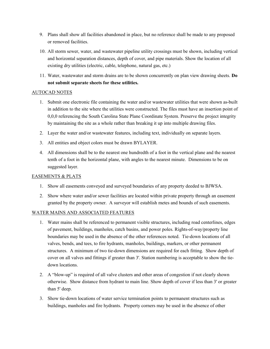- 9. Plans shall show all facilities abandoned in place, but no reference shall be made to any proposed or removed facilities.
- 10. All storm sewer, water, and wastewater pipeline utility crossings must be shown, including vertical and horizontal separation distances, depth of cover, and pipe materials. Show the location of all existing dry utilities (electric, cable, telephone, natural gas, etc.)
- 11. Water, wastewater and storm drains are to be shown concurrently on plan view drawing sheets. **Do not submit separate sheets for these utilities.**

#### AUTOCAD NOTES

- 1. Submit one electronic file containing the water and/or wastewater utilities that were shown as-built in addition to the site where the utilities were constructed. The files must have an insertion point of 0,0,0 referencing the South Carolina State Plane Coordinate System. Preserve the project integrity by maintaining the site as a whole rather than breaking it up into multiple drawing files.
- 2. Layer the water and/or wastewater features, including text, individually on separate layers.
- 3. All entities and object colors must be drawn BYLAYER.
- 4. All dimensions shall be to the nearest one hundredth of a foot in the vertical plane and the nearest tenth of a foot in the horizontal plane, with angles to the nearest minute. Dimensions to be on suggested layer.

#### EASEMENTS & PLATS

- 1. Show all easements conveyed and surveyed boundaries of any property deeded to BJWSA.
- 2. Show where water and/or sewer facilities are located within private property through an easement granted by the property owner. A surveyor will establish metes and bounds of such easements.

#### WATER MAINS AND ASSOCIATED FEATURES

- 1. Water mains shall be referenced to permanent visible structures, including road centerlines, edges of pavement, buildings, manholes, catch basins, and power poles. Rights-of-way/property line boundaries may be used in the absence of the other references noted. Tie-down locations of all valves, bends, and tees, to fire hydrants, manholes, buildings, markers, or other permanent structures. A minimum of two tie-down dimensions are required for each fitting. Show depth of cover on all valves and fittings if greater than 3'. Station numbering is acceptable to show the tiedown locations.
- 2. A "blow-up" is required of all valve clusters and other areas of congestion if not clearly shown otherwise. Show distance from hydrant to main line. Show depth of cover if less than 3' or greater than 5' deep.
- 3. Show tie-down locations of water service termination points to permanent structures such as buildings, manholes and fire hydrants. Property corners may be used in the absence of other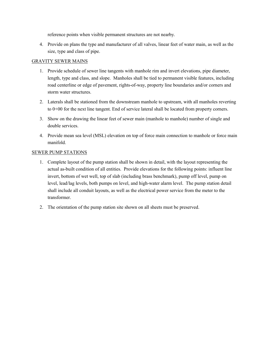reference points when visible permanent structures are not nearby.

4. Provide on plans the type and manufacturer of all valves, linear feet of water main, as well as the size, type and class of pipe.

#### GRAVITY SEWER MAINS

- 1. Provide schedule of sewer line tangents with manhole rim and invert elevations, pipe diameter, length, type and class, and slope. Manholes shall be tied to permanent visible features, including road centerline or edge of pavement, rights-of-way, property line boundaries and/or corners and storm water structures.
- 2. Laterals shall be stationed from the downstream manhole to upstream, with all manholes reverting to 0+00 for the next line tangent. End of service lateral shall be located from property corners.
- 3. Show on the drawing the linear feet of sewer main (manhole to manhole) number of single and double services.
- 4. Provide mean sea level (MSL) elevation on top of force main connection to manhole or force main manifold.

#### SEWER PUMP STATIONS

- 1. Complete layout of the pump station shall be shown in detail, with the layout representing the actual as-built condition of all entities. Provide elevations for the following points: influent line invert, bottom of wet well, top of slab (including brass benchmark), pump off level, pump on level, lead/lag levels, both pumps on level, and high-water alarm level. The pump station detail shall include all conduit layouts, as well as the electrical power service from the meter to the transformer.
- 2. The orientation of the pump station site shown on all sheets must be preserved.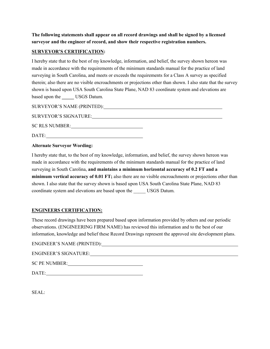**The following statements shall appear on all record drawings and shall be signed by a licensed surveyor and the engineer of record, and show their respective registration numbers.**

#### **SURVEYOR'S CERTIFICATION:**

I hereby state that to the best of my knowledge, information, and belief, the survey shown hereon was made in accordance with the requirements of the minimum standards manual for the practice of land surveying in South Carolina, and meets or exceeds the requirements for a Class A survey as specified therein; also there are no visible encroachments or projections other than shown. I also state that the survey shown is based upon USA South Carolina State Plane, NAD 83 coordinate system and elevations are based upon the **USGS Datum.** 

SURVEYOR'S NAME (PRINTED):

SURVEYOR'S SIGNATURE:

SC RLS NUMBER:

DATE:

#### **Alternate Surveyor Wording:**

I hereby state that, to the best of my knowledge, information, and belief, the survey shown hereon was made in accordance with the requirements of the minimum standards manual for the practice of land surveying in South Carolina, **and maintains a minimum horizontal accuracy of 0.2 FT and a minimum vertical accuracy of 0.01 FT;** also there are no visible encroachments or projections other than shown. I also state that the survey shown is based upon USA South Carolina State Plane, NAD 83 coordinate system and elevations are based upon the \_\_\_\_\_ USGS Datum.

#### **ENGINEERS CERTIFICATION:**

These record drawings have been prepared based upon information provided by others and our periodic observations. (ENGINEERING FIRM NAME) has reviewed this information and to the best of our information, knowledge and belief these Record Drawings represent the approved site development plans.

ENGINEER'S NAME (PRINTED):

SC PE NUMBER:

DATE:

SEAL: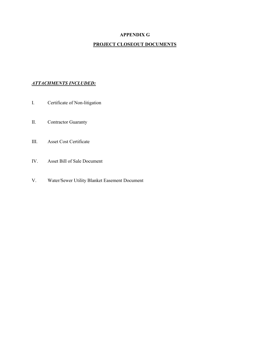#### **APPENDIX G**

#### **PROJECT CLOSEOUT DOCUMENTS**

#### *ATTACHMENTS INCLUDED:*

- I. Certificate of Non-litigation
- II. Contractor Guaranty
- III. Asset Cost Certificate
- IV. Asset Bill of Sale Document
- V. Water/Sewer Utility Blanket Easement Document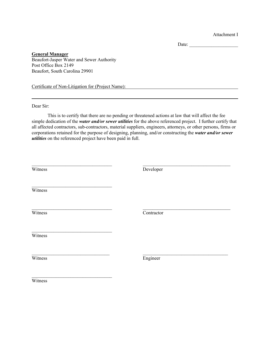Attachment I

Date:

**General Manager**  Beaufort-Jasper Water and Sewer Authority Post Office Box 2149 Beaufort, South Carolina 29901

Certificate of Non-Litigation for (Project Name):

Dear Sir:

This is to certify that there are no pending or threatened actions at law that will affect the fee simple dedication of the *water and/or sewer utilities* for the above referenced project. I further certify that all affected contractors, sub-contractors, material suppliers, engineers, attorneys, or other persons, firms or corporations retained for the purpose of designing, planning, and/or constructing the *water and/or sewer utilities* on the referenced project have been paid in full.

| Witness | Developer  |
|---------|------------|
| Witness |            |
| Witness | Contractor |
| Witness |            |
| Witness | Engineer   |
| Witness |            |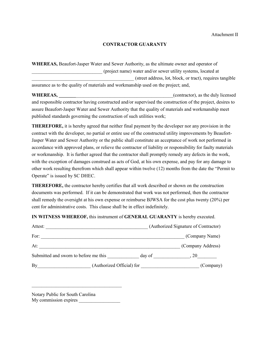#### **CONTRACTOR GUARANTY**

**WHEREAS,** Beaufort-Jasper Water and Sewer Authority, as the ultimate owner and operator of \_\_\_\_\_\_\_\_\_\_\_\_\_\_\_\_\_\_\_\_\_\_\_\_\_\_\_\_\_ (project name) water and/or sewer utility systems, located at \_\_\_\_\_\_\_\_\_\_\_\_\_\_\_\_\_\_\_\_\_\_\_\_\_\_\_\_\_\_\_\_\_\_\_\_\_\_\_\_\_\_ (street address, lot, block, or tract), requires tangible assurance as to the quality of materials and workmanship used on the project; and,

**WHEREAS, WHEREAS**, and responsible contractor having constructed and/or supervised the construction of the project, desires to assure Beaufort-Jasper Water and Sewer Authority that the quality of materials and workmanship meet published standards governing the construction of such utilities work;

**THEREFORE,** it is hereby agreed that neither final payment by the developer nor any provision in the contract with the developer, no partial or entire use of the constructed utility improvements by Beaufort-Jasper Water and Sewer Authority or the public shall constitute an acceptance of work not performed in accordance with approved plans, or relieve the contractor of liability or responsibility for faulty materials or workmanship. It is further agreed that the contractor shall promptly remedy any defects in the work, with the exception of damages construed as acts of God, at his own expense, and pay for any damage to other work resulting therefrom which shall appear within twelve (12) months from the date the "Permit to Operate" is issued by SC DHEC.

**THEREFORE,** the contractor hereby certifies that all work described or shown on the construction documents was performed. If it can be demonstrated that work was not performed, then the contractor shall remedy the oversight at his own expense or reimburse BJWSA for the cost plus twenty (20%) per cent for administrative costs. This clause shall be in effect indefinitely.

**IN WITNESS WHEREOF,** this instrument of **GENERAL GUARANTY** is hereby executed.

| Attest:                               |                           |        | (Authorized Signature of Contractor) |
|---------------------------------------|---------------------------|--------|--------------------------------------|
| For:                                  |                           |        | (Company Name)                       |
| At:                                   |                           |        | (Company Address)                    |
| Submitted and sworn to before me this |                           | day of | -20                                  |
| By                                    | (Authorized Official) for |        | (Company)                            |

Notary Public for South Carolina My commission expires

 $\mathcal{L}_\text{max}$  , where  $\mathcal{L}_\text{max}$  and  $\mathcal{L}_\text{max}$  and  $\mathcal{L}_\text{max}$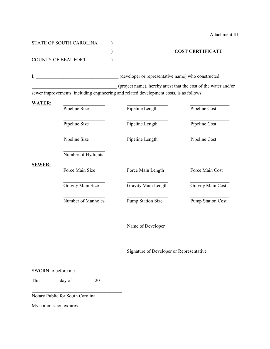| STATE OF SOUTH CAROLINA |  |
|-------------------------|--|
|                         |  |
| COUNTY OF BEAUFORT      |  |

Attachment III

#### ) **COST CERTIFICATE**

I, \_\_\_\_\_\_\_\_\_\_\_\_\_\_\_\_\_\_\_\_\_\_\_\_\_\_\_\_\_\_\_\_\_\_ (developer or representative name) who constructed

\_\_\_\_\_\_\_\_\_\_\_\_\_\_\_\_\_\_\_\_\_\_\_\_\_\_\_\_\_\_\_\_\_\_\_ (project name), hereby attest that the cost of the water and/or sewer improvements, including engineering and related development costs, is as follows:

| <b>WATER:</b> | Pipeline Size      | Pipeline Length          | Pipeline Cost            |
|---------------|--------------------|--------------------------|--------------------------|
|               | Pipeline Size      | Pipeline Length          | Pipeline Cost            |
|               | Pipeline Size      | Pipeline Length          | Pipeline Cost            |
|               | Number of Hydrants |                          |                          |
| <b>SEWER:</b> | Force Main Size    | Force Main Length        | Force Main Cost          |
|               | Gravity Main Size  | Gravity Main Length      | Gravity Main Cost        |
|               | Number of Manholes | <b>Pump Station Size</b> | <b>Pump Station Cost</b> |
|               |                    | Name of Developer        |                          |

#### Signature of Developer or Representative

 $\mathcal{L}_\text{max}$  , where  $\mathcal{L}_\text{max}$  and  $\mathcal{L}_\text{max}$  and  $\mathcal{L}_\text{max}$ 

SWORN to before me

This  $\_\_\_\_\_\$  day of  $\_\_\_\_\$ , 20 $\_\_\_\_\_\$ 

\_\_\_\_\_\_\_\_\_\_\_\_\_\_\_\_\_\_\_\_\_\_\_\_\_\_\_\_\_\_\_\_\_\_\_\_\_

Notary Public for South Carolina

My commission expires \_\_\_\_\_\_\_\_\_\_\_\_\_\_\_\_\_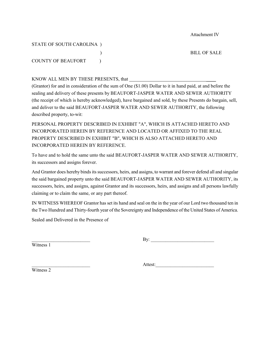Attachment IV

#### STATE OF SOUTH CAROLINA )

COUNTY OF BEAUFORT (1)

) BILL OF SALE

KNOW ALL MEN BY THESE PRESENTS, that \_\_\_\_

(Grantor) for and in consideration of the sum of One (\$1.00) Dollar to it in hand paid, at and before the sealing and delivery of these presents by BEAUFORT-JASPER WATER AND SEWER AUTHORITY (the receipt of which is hereby acknowledged), have bargained and sold, by these Presents do bargain, sell, and deliver to the said BEAUFORT-JASPER WATER AND SEWER AUTHORITY, the following described property, to-wit:

PERSONAL PROPERTY DESCRIBED IN EXHIBIT "A", WHICH IS ATTACHED HERETO AND INCORPORATED HEREIN BY REFERENCE AND LOCATED OR AFFIXED TO THE REAL PROPERTY DESCRIBED IN EXHIBIT "B", WHICH IS ALSO ATTACHED HERETO AND INCORPORATED HEREIN BY REFERENCE.

To have and to hold the same unto the said BEAUFORT-JASPER WATER AND SEWER AUTHORITY, its successors and assigns forever.

And Grantor does hereby binds its successors, heirs, and assigns, to warrant and forever defend all and singular the said bargained property unto the said BEAUFORT-JASPER WATER AND SEWER AUTHORITY, its successors, heirs, and assigns, against Grantor and its successors, heirs, and assigns and all persons lawfully claiming or to claim the same, or any part thereof.

IN WITNESS WHEREOF Grantor has set its hand and seal on the in the year of our Lord two thousand ten in the Two Hundred and Thirty-fourth year of the Sovereignty and Independence of the United States of America.

Sealed and Delivered in the Presence of

Witness 1

 $\mathbf{By:}$ 

Attest:

Witness 2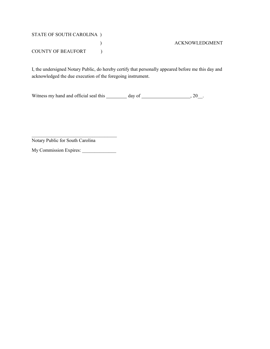## STATE OF SOUTH CAROLINA ) COUNTY OF BEAUFORT (1)

#### ) ACKNOWLEDGMENT

I, the undersigned Notary Public, do hereby certify that personally appeared before me this day and acknowledged the due execution of the foregoing instrument.

Witness my hand and official seal this  $\frac{1}{2}$  day of  $\frac{1}{2}$ , 20\_.

Notary Public for South Carolina

My Commission Expires: \_\_\_\_\_\_\_\_\_\_\_\_\_\_

 $\mathcal{L}_\text{max}$  , where  $\mathcal{L}_\text{max}$  and  $\mathcal{L}_\text{max}$  and  $\mathcal{L}_\text{max}$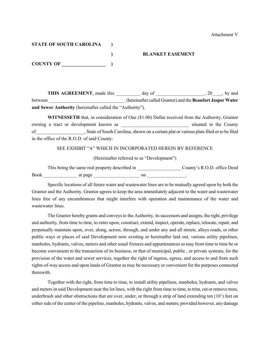### **STATE OF SOUTH CAROLINA )**

**COUNTY OF \_\_\_\_\_\_\_\_\_\_\_\_\_\_\_\_\_\_ )**

#### **) BLANKET EASEMENT**

**THIS AGREEMENT**, made this \_\_\_\_\_\_\_\_\_ day of \_\_\_\_\_\_\_\_\_\_\_\_\_\_\_, 20\_\_\_\_, by and between \_\_\_\_\_\_\_\_\_\_\_\_\_\_\_\_\_\_\_\_\_\_\_\_\_\_\_\_\_\_\_\_ (hereinafter called Grantor) and the **Beaufort Jasper Water** 

**and Sewer Authority** (hereinafter called the "Authority").

**WITNESSETH** that, in consideration of One (\$1.00) Dollar received from the Authority, Grantor owning a tract or development known as <br>situated in the County of\_\_\_\_\_\_\_\_\_\_\_\_\_\_\_\_\_\_\_\_, State of South Carolina, shown on a certain plat or various plats filed or to be filed in the office of the R.O.D. of said County:

SEE EXHIBIT "A" WHICH IN INCORPORATED HEREIN BY REFERENCE

(Hereinafter referred to as "Development")

This being the same real property described in \_\_\_\_\_\_\_\_\_\_\_\_\_\_\_\_\_\_\_\_\_\_\_\_\_\_\_\_\_\_\_\_\_\_ County's R.O.D. office Deed Book at page and  $\frac{1}{2}$  at page  $\frac{1}{2}$  on  $\frac{1}{2}$  on  $\frac{1}{2}$ 

Specific locations of all future water and wastewater lines are to be mutually agreed upon by both the Grantor and the Authority. Grantor agrees to keep the area immediately adjacent to the water and wastewater lines free of any encumbrances that might interfere with operation and maintenance of the water and wastewater lines.

The Grantor hereby grants and conveys to the Authority, its successors and assigns, the right, privilege and authority, from time to time, to enter upon, construct, extend, inspect, operate, replace, relocate, repair, and perpetually maintain upon, over, along, across, through, and under any and all streets, alleys roads, or other public ways or places of said Development now existing or hereinafter laid out, various utility pipelines, manholes, hydrants, valves, meters and other usual fixtures and appurtenances as may from time to time be or become convenient to the transaction of its business, or that of municipal, public , or private systems, for the provision of the water and sewer services, together the right of ingress, egress, and access to and from such rights-of-way access and upon lands of Grantor as may be necessary or convenient for the purposes connected therewith.

Together with the right, from time to time, to install utility pipelines, manholes, hydrants, and valves and meters in said Development near the lot lines, with the right from time to time, to trim, cut or remove trees, underbrush and other obstructions that are over, under, or through a strip of land extending ten (10') feet on either side of the center of the pipeline, manholes, hydrants, valves, and meters; provided however, any damage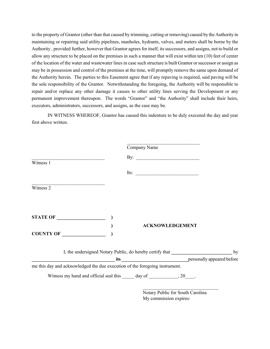to the property of Grantor (other than that caused by trimming, cutting or removing) caused by the Authority in maintaining or repairing said utility pipelines, manholes, hydrants, valves, and meters shall be borne by the Authority , provided further, however that Grantor agrees for itself, its successors, and assigns, not to build or allow any structure to be placed on the premises in such a manner that will exist within ten (10) feet of center of the location of the water and wastewater lines in case such structure is built Grantor orsuccessor or assign as may be in possession and control of the premises at the time, will promptly remove the same upon demand of the Authority herein. The parties to this Easement agree that if any repaving is required, said paving will be the sole responsibility of the Grantor. Notwithstanding the foregoing, the Authority will be responsible to repair and/or replace any other damage it causes to other utility lines serving the Development or any permanent improvement thereupon. The words "Grantor" and "the Authority" shall include their heirs, executors, administrators, successors, and assigns, as the case may be.

IN WITNESS WHEREOF, Grantor has caused this indenture to be duly executed the day and year first above written.

|                                                                                                        | Company Name                                                                                                                                                                                                                                                                               |    |
|--------------------------------------------------------------------------------------------------------|--------------------------------------------------------------------------------------------------------------------------------------------------------------------------------------------------------------------------------------------------------------------------------------------|----|
| the contract of the contract of the contract of the contract of the contract of<br>Witness 1           |                                                                                                                                                                                                                                                                                            |    |
|                                                                                                        | Its: $\qquad \qquad$                                                                                                                                                                                                                                                                       |    |
| the control of the control of the control of the control of the control of the control of<br>Witness 2 |                                                                                                                                                                                                                                                                                            |    |
|                                                                                                        |                                                                                                                                                                                                                                                                                            |    |
| STATE OF                                                                                               |                                                                                                                                                                                                                                                                                            |    |
| $\begin{array}{c}\n\text{COUNTY OF}\n\end{array}$                                                      | <b>ACKNOWLEDGEMENT</b>                                                                                                                                                                                                                                                                     |    |
|                                                                                                        | I, the undersigned Notary Public, do hereby certify that<br>example are defore the set of the set of the set of the set of the set of the set of the set of the set of the set of the set of the set of the set of the set of the set of the set of the set of the set of the set of the s | by |
| me this day and acknowledged the due execution of the foregoing instrument.                            |                                                                                                                                                                                                                                                                                            |    |
|                                                                                                        | Witness my hand and official seal this ______ day of _______________, 20_____.                                                                                                                                                                                                             |    |
|                                                                                                        | Notary Public for South Carolina                                                                                                                                                                                                                                                           |    |

My commission expires: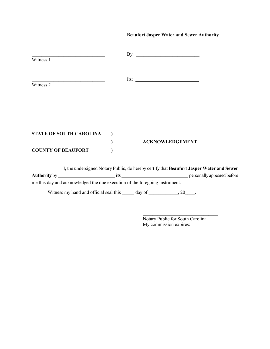#### **Beaufort Jasper Water and Sewer Authority**

| Witness 1                      | By:  |                        |
|--------------------------------|------|------------------------|
| Witness 2                      | Its: |                        |
|                                |      |                        |
| <b>STATE OF SOUTH CAROLINA</b> |      |                        |
| <b>COUNTY OF BEAUFORT</b>      |      | <b>ACKNOWLEDGEMENT</b> |

I, the undersigned Notary Public, do hereby certify that **Beaufort Jasper Water and Sewer Authority** by **\_\_\_\_\_\_\_\_\_\_\_\_\_\_\_\_\_\_\_\_\_\_\_\_ its \_\_\_\_\_\_\_\_\_\_\_\_\_\_\_\_\_\_\_\_\_\_\_\_\_\_\_\_** personally appeared before me this day and acknowledged the due execution of the foregoing instrument.

Witness my hand and official seal this \_\_\_\_\_ day of \_\_\_\_\_\_\_\_\_\_, 20\_\_\_\_.

Notary Public for South Carolina My commission expires:

 $\mathcal{L}=\{1,2,3,4,5\}$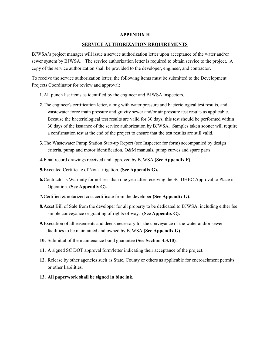#### **APPENDIX H**

#### **SERVICE AUTHORIZATION REQUIREMENTS**

BJWSA's project manager will issue a service authorization letter upon acceptance of the water and/or sewer system by BJWSA. The service authorization letter is required to obtain service to the project. A copy of the service authorization shall be provided to the developer, engineer, and contractor.

To receive the service authorization letter, the following items must be submitted to the Development Projects Coordinator for review and approval:

- **1.**All punch list items as identified by the engineer and BJWSA inspectors.
- **2.**The engineer's certification letter, along with water pressure and bacteriological test results, and wastewater force main pressure and gravity sewer and/or air pressure test results as applicable. Because the bacteriological test results are valid for 30 days, this test should be performed within 30 days of the issuance of the service authorization by BJWSA. Samples taken sooner will require a confirmation test at the end of the project to ensure that the test results are still valid.
- **3.**The Wastewater Pump Station Start-up Report (see Inspector for form) accompanied by design criteria, pump and motor identification, O&M manuals, pump curves and spare parts.
- **4.**Final record drawings received and approved by BJWSA **(See Appendix F)**.
- **5.**Executed Certificate of Non-Litigation. **(See Appendix G).**
- **6.**Contractor's Warranty for not less than one year after receiving the SC DHEC Approval to Place in Operation. **(See Appendix G).**
- **7.**Certified & notarized cost certificate from the developer **(See Appendix G)**.
- **8.**Asset Bill of Sale from the developer for all property to be dedicated to BJWSA, including either fee simple conveyance or granting of rights-of-way. **(See Appendix G).**
- **9.**Execution of all easements and deeds necessary for the conveyance of the water and/or sewer facilities to be maintained and owned by BJWSA **(See Appendix G)**.
- **10.** Submittal of the maintenance bond guarantee **(See Section 4.3.10)**.
- **11.** A signed SC DOT approval form/letter indicating their acceptance of the project.
- **12.** Release by other agencies such as State, County or others as applicable for encroachment permits or other liabilities.
- **13. All paperwork shall be signed in blue ink.**